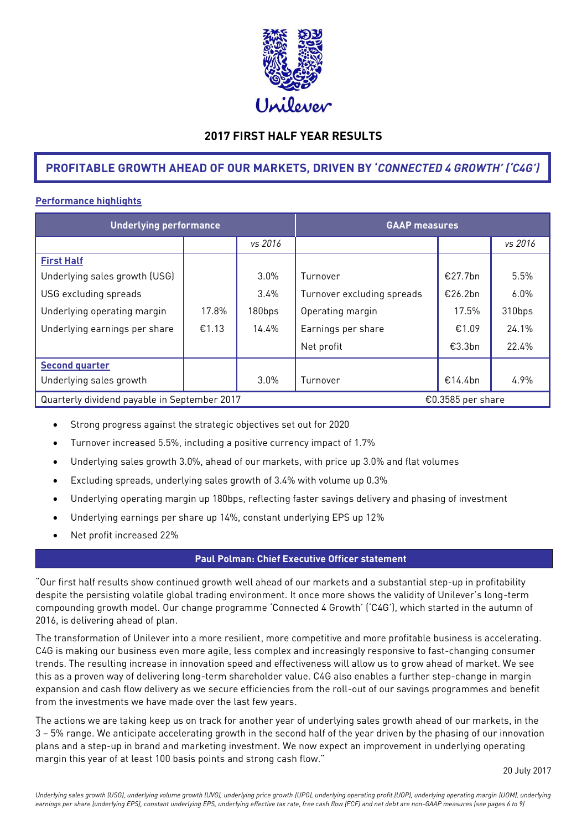

# **2017 FIRST HALF YEAR RESULTS**

# **PROFITABLE GROWTH AHEAD OF OUR MARKETS, DRIVEN BY '***CONNECTED 4 GROWTH' ('C4G')*

# **Performance highlights**

| <b>Underlying performance</b>                |       |         | <b>GAAP measures</b>       |                   |         |
|----------------------------------------------|-------|---------|----------------------------|-------------------|---------|
|                                              |       | vs 2016 |                            |                   | vs 2016 |
| <b>First Half</b>                            |       |         |                            |                   |         |
| Underlying sales growth (USG)                |       | 3.0%    | Turnover                   | €27.7bn           | 5.5%    |
| USG excluding spreads                        |       | 3.4%    | Turnover excluding spreads | €26.2bn           | $6.0\%$ |
| Underlying operating margin                  | 17.8% | 180bps  | Operating margin           | 17.5%             | 310bps  |
| Underlying earnings per share                | €1.13 | 14.4%   | Earnings per share         | €1.09             | 24.1%   |
|                                              |       |         | Net profit                 | €3.3bn            | 22.4%   |
| <b>Second quarter</b>                        |       |         |                            |                   |         |
| Underlying sales growth                      |       | 3.0%    | Turnover                   | €14.4bn           | 4.9%    |
| Quarterly dividend payable in September 2017 |       |         |                            | €0.3585 per share |         |

- Strong progress against the strategic objectives set out for 2020
- Turnover increased 5.5%, including a positive currency impact of 1.7%
- Underlying sales growth 3.0%, ahead of our markets, with price up 3.0% and flat volumes
- Excluding spreads, underlying sales growth of 3.4% with volume up 0.3%
- Underlying operating margin up 180bps, reflecting faster savings delivery and phasing of investment
- Underlying earnings per share up 14%, constant underlying EPS up 12%
- Net profit increased 22%

# **Paul Polman: Chief Executive Officer statement**

"Our first half results show continued growth well ahead of our markets and a substantial step-up in profitability despite the persisting volatile global trading environment. It once more shows the validity of Unilever's long-term compounding growth model. Our change programme 'Connected 4 Growth' ('C4G'), which started in the autumn of 2016, is delivering ahead of plan.

The transformation of Unilever into a more resilient, more competitive and more profitable business is accelerating. C4G is making our business even more agile, less complex and increasingly responsive to fast-changing consumer trends. The resulting increase in innovation speed and effectiveness will allow us to grow ahead of market. We see this as a proven way of delivering long-term shareholder value. C4G also enables a further step-change in margin expansion and cash flow delivery as we secure efficiencies from the roll-out of our savings programmes and benefit from the investments we have made over the last few years.

The actions we are taking keep us on track for another year of underlying sales growth ahead of our markets, in the 3 – 5% range. We anticipate accelerating growth in the second half of the year driven by the phasing of our innovation plans and a step-up in brand and marketing investment. We now expect an improvement in underlying operating margin this year of at least 100 basis points and strong cash flow."

20 July 2017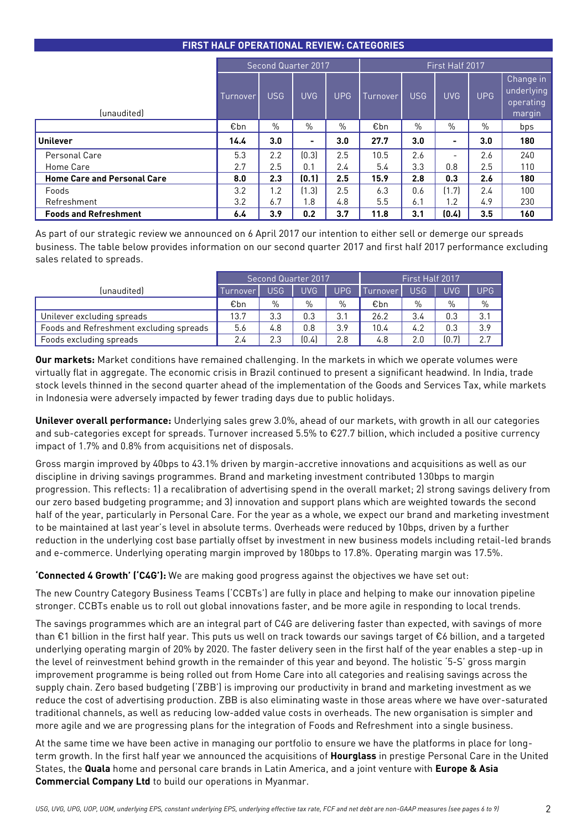|                                    | Second Quarter 2017 |            |                          |            | First Half 2017 |            |                |            |                                      |
|------------------------------------|---------------------|------------|--------------------------|------------|-----------------|------------|----------------|------------|--------------------------------------|
|                                    | Turnover            | <b>USG</b> | <b>UVG</b>               | <b>UPG</b> | Turnover        | <b>USG</b> | <b>UVG</b>     | <b>UPG</b> | Change in<br>underlying<br>operating |
| (unaudited)                        |                     |            |                          |            |                 |            |                |            | margin                               |
|                                    | €bn                 | $\%$       | $\%$                     | $\%$       | €bn             | $\%$       | $\%$           | %          | bps                                  |
| <b>Unilever</b>                    | 14.4                | 3.0        | $\overline{\phantom{0}}$ | 3.0        | 27.7            | 3.0        | $\blacksquare$ | 3.0        | 180                                  |
| Personal Care                      | 5.3                 | 2.2        | [0.3]                    | 2.5        | 10.5            | 2.6        |                | 2.6        | 240                                  |
| Home Care                          | 2.7                 | 2.5        | 0.1                      | 2.4        | 5.4             | 3.3        | 0.8            | 2.5        | 110                                  |
| <b>Home Care and Personal Care</b> | 8.0                 | 2.3        | (0.1)                    | 2.5        | 15.9            | 2.8        | 0.3            | 2.6        | 180                                  |
| Foods                              | 3.2                 | 1.2        | (1.3)                    | 2.5        | 6.3             | 0.6        | (1.7)          | $2.4\,$    | 100                                  |
| Refreshment                        | 3.2                 | 6.7        | 1.8                      | 4.8        | 5.5             | 6.1        | 1.2            | 4.9        | 230                                  |
| <b>Foods and Refreshment</b>       | 6.4                 | 3.9        | 0.2                      | 3.7        | 11.8            | 3.1        | (0.4)          | 3.5        | 160                                  |

**FIRST HALF OPERATIONAL REVIEW: CATEGORIES**

# As part of our strategic review we announced on 6 April 2017 our intention to either sell or demerge our spreads business. The table below provides information on our second quarter 2017 and first half 2017 performance excluding sales related to spreads.

|                                         | Second Quarter 2017 |            |            |            | First Half 2017 |            |       |            |
|-----------------------------------------|---------------------|------------|------------|------------|-----------------|------------|-------|------------|
| (unaudited)                             | Turnover            | <b>USG</b> | <b>UVG</b> | <b>UPG</b> | Turnover        | <b>USG</b> | UVG.  | <b>UPG</b> |
|                                         | €bn                 | %          | $\%$       | %          | €bn             | %          | %     | $\%$       |
| Unilever excluding spreads              | 13.7                | 3.3        | 0.3        | 3.1        | 26.2            | 3.4        | 0.3   | 3.1        |
| Foods and Refreshment excluding spreads | 5.6                 | 4.8        | 0.8        | 3.9        | 10.4            | 4.2        | 0.3   | 3.9        |
| Foods excluding spreads                 | 2.4                 | 2.3        | (0.4)      | 2.8        | 4.8             | 2.0        | (0.7) | 2.7        |

**Our markets:** Market conditions have remained challenging. In the markets in which we operate volumes were virtually flat in aggregate. The economic crisis in Brazil continued to present a significant headwind. In India, trade stock levels thinned in the second quarter ahead of the implementation of the Goods and Services Tax, while markets in Indonesia were adversely impacted by fewer trading days due to public holidays.

**Unilever overall performance:** Underlying sales grew 3.0%, ahead of our markets, with growth in all our categories and sub-categories except for spreads. Turnover increased 5.5% to €27.7 billion, which included a positive currency impact of 1.7% and 0.8% from acquisitions net of disposals.

Gross margin improved by 40bps to 43.1% driven by margin-accretive innovations and acquisitions as well as our discipline in driving savings programmes. Brand and marketing investment contributed 130bps to margin progression. This reflects: 1) a recalibration of advertising spend in the overall market; 2) strong savings delivery from our zero based budgeting programme; and 3) innovation and support plans which are weighted towards the second half of the year, particularly in Personal Care. For the year as a whole, we expect our brand and marketing investment to be maintained at last year's level in absolute terms. Overheads were reduced by 10bps, driven by a further reduction in the underlying cost base partially offset by investment in new business models including retail-led brands and e-commerce. Underlying operating margin improved by 180bps to 17.8%. Operating margin was 17.5%.

**'Connected 4 Growth' ('C4G'):** We are making good progress against the objectives we have set out:

The new Country Category Business Teams ('CCBTs') are fully in place and helping to make our innovation pipeline stronger. CCBTs enable us to roll out global innovations faster, and be more agile in responding to local trends.

The savings programmes which are an integral part of C4G are delivering faster than expected, with savings of more than €1 billion in the first half year. This puts us well on track towards our savings target of €6 billion, and a targeted underlying operating margin of 20% by 2020. The faster delivery seen in the first half of the year enables a step-up in the level of reinvestment behind growth in the remainder of this year and beyond. The holistic '5-S' gross margin improvement programme is being rolled out from Home Care into all categories and realising savings across the supply chain. Zero based budgeting ('ZBB') is improving our productivity in brand and marketing investment as we reduce the cost of advertising production. ZBB is also eliminating waste in those areas where we have over-saturated traditional channels, as well as reducing low-added value costs in overheads. The new organisation is simpler and more agile and we are progressing plans for the integration of Foods and Refreshment into a single business.

At the same time we have been active in managing our portfolio to ensure we have the platforms in place for longterm growth. In the first half year we announced the acquisitions of **Hourglass** in prestige Personal Care in the United States, the **Quala** home and personal care brands in Latin America, and a joint venture with **Europe & Asia Commercial Company Ltd** to build our operations in Myanmar.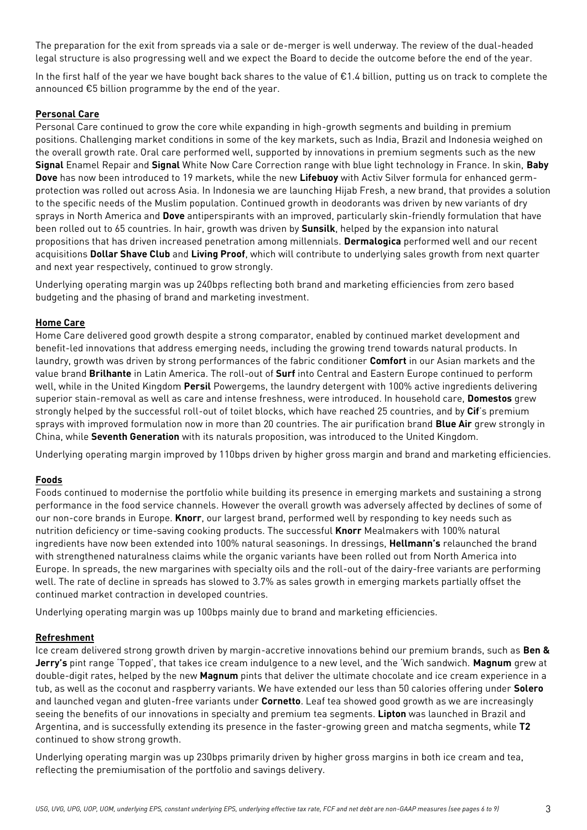The preparation for the exit from spreads via a sale or de-merger is well underway. The review of the dual-headed legal structure is also progressing well and we expect the Board to decide the outcome before the end of the year.

In the first half of the year we have bought back shares to the value of €1.4 billion, putting us on track to complete the announced €5 billion programme by the end of the year.

# **Personal Care**

Personal Care continued to grow the core while expanding in high-growth segments and building in premium positions. Challenging market conditions in some of the key markets, such as India, Brazil and Indonesia weighed on the overall growth rate. Oral care performed well, supported by innovations in premium segments such as the new **Signal** Enamel Repair and **Signal** White Now Care Correction range with blue light technology in France. In skin, **Baby Dove** has now been introduced to 19 markets, while the new **Lifebuoy** with Activ Silver formula for enhanced germprotection was rolled out across Asia. In Indonesia we are launching Hijab Fresh, a new brand, that provides a solution to the specific needs of the Muslim population. Continued growth in deodorants was driven by new variants of dry sprays in North America and **Dove** antiperspirants with an improved, particularly skin-friendly formulation that have been rolled out to 65 countries. In hair, growth was driven by **Sunsilk**, helped by the expansion into natural propositions that has driven increased penetration among millennials. **Dermalogica** performed well and our recent acquisitions **Dollar Shave Club** and **Living Proof**, which will contribute to underlying sales growth from next quarter and next year respectively, continued to grow strongly.

Underlying operating margin was up 240bps reflecting both brand and marketing efficiencies from zero based budgeting and the phasing of brand and marketing investment.

# **Home Care**

Home Care delivered good growth despite a strong comparator, enabled by continued market development and benefit-led innovations that address emerging needs, including the growing trend towards natural products. In laundry, growth was driven by strong performances of the fabric conditioner **Comfort** in our Asian markets and the value brand **Brilhante** in Latin America. The roll-out of **Surf** into Central and Eastern Europe continued to perform well, while in the United Kingdom **Persil** Powergems, the laundry detergent with 100% active ingredients delivering superior stain-removal as well as care and intense freshness, were introduced. In household care, **Domestos** grew strongly helped by the successful roll-out of toilet blocks, which have reached 25 countries, and by **Cif**'s premium sprays with improved formulation now in more than 20 countries. The air purification brand **Blue Air** grew strongly in China, while **Seventh Generation** with its naturals proposition, was introduced to the United Kingdom.

Underlying operating margin improved by 110bps driven by higher gross margin and brand and marketing efficiencies.

# **Foods**

Foods continued to modernise the portfolio while building its presence in emerging markets and sustaining a strong performance in the food service channels. However the overall growth was adversely affected by declines of some of our non-core brands in Europe. **Knorr**, our largest brand, performed well by responding to key needs such as nutrition deficiency or time-saving cooking products. The successful **Knorr** Mealmakers with 100% natural ingredients have now been extended into 100% natural seasonings. In dressings, **Hellmann's** relaunched the brand with strengthened naturalness claims while the organic variants have been rolled out from North America into Europe. In spreads, the new margarines with specialty oils and the roll-out of the dairy-free variants are performing well. The rate of decline in spreads has slowed to 3.7% as sales growth in emerging markets partially offset the continued market contraction in developed countries.

Underlying operating margin was up 100bps mainly due to brand and marketing efficiencies.

## **Refreshment**

Ice cream delivered strong growth driven by margin-accretive innovations behind our premium brands, such as **Ben & Jerry's** pint range 'Topped', that takes ice cream indulgence to a new level, and the 'Wich sandwich. **Magnum** grew at double-digit rates, helped by the new **Magnum** pints that deliver the ultimate chocolate and ice cream experience in a tub, as well as the coconut and raspberry variants. We have extended our less than 50 calories offering under **Solero** and launched vegan and gluten-free variants under **Cornetto**. Leaf tea showed good growth as we are increasingly seeing the benefits of our innovations in specialty and premium tea segments. **Lipton** was launched in Brazil and Argentina, and is successfully extending its presence in the faster-growing green and matcha segments, while **T2** continued to show strong growth.

Underlying operating margin was up 230bps primarily driven by higher gross margins in both ice cream and tea, reflecting the premiumisation of the portfolio and savings delivery.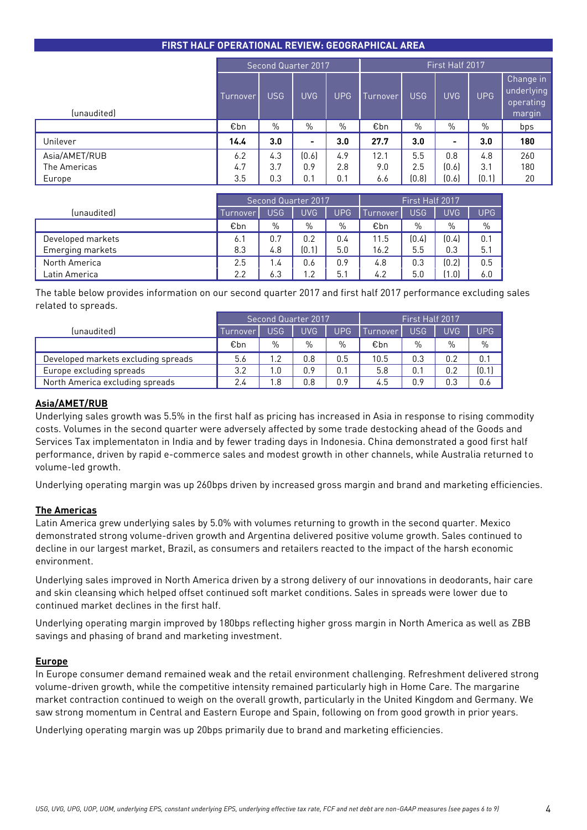# **FIRST HALF OPERATIONAL REVIEW: GEOGRAPHICAL AREA**

|               | Second Quarter 2017 |            |            |            | First Half 2017 |       |                |            |                                                |
|---------------|---------------------|------------|------------|------------|-----------------|-------|----------------|------------|------------------------------------------------|
| (unaudited)   | Turnover            | <b>USG</b> | <b>UVG</b> | <b>UPG</b> | Turnover        | USG   | <b>UVG</b>     | <b>UPG</b> | Change in<br>underlying<br>operating<br>margin |
|               | €bn                 | $\%$       | $\%$       | $\%$       | €bn             | $\%$  | $\%$           | $\%$       | bps                                            |
| Unilever      | 14.4                | 3.0        | -          | 3.0        | 27.7            | 3.0   | $\blacksquare$ | 3.0        | 180                                            |
| Asia/AMET/RUB | 6.2                 | 4.3        | [0.6]      | 4.9        | 12.1            | 5.5   | 0.8            | 4.8        | 260                                            |
| The Americas  | 4.7                 | 3.7        | 0.9        | 2.8        | 9.0             | 2.5   | [0.6]          | 3.1        | 180                                            |
| Europe        | 3.5                 | 0.3        | 0.1        | 0.1        | 6.6             | (0.8) | (0.6)          | (0.1)      | 20                                             |

|                   | Second Quarter 2017 |            |            |            | First Half 2017 |            |       |            |
|-------------------|---------------------|------------|------------|------------|-----------------|------------|-------|------------|
| (unaudited)       | Turnover            | <b>USG</b> | <b>UVG</b> | <b>UPG</b> | Turnover        | <b>USG</b> | UVG.  | <b>UPG</b> |
|                   | €bn                 | $\%$       | $\%$       | $\%$       | €bn             | $\%$       | $\%$  | %          |
| Developed markets | 6.1                 | 0.7        | 0.2        | 0.4        | 11.5            | [0.4]      | (0.4) | 0.1        |
| Emerging markets  | 8.3                 | 4.8        | [0.1]      | 5.0        | 16.2            | 5.5        | 0.3   | 5.1        |
| North America     | 2.5                 | 1.4        | 0.6        | 0.9        | 4.8             | 0.3        | (0.2) | 0.5        |
| Latin America     | 2.2                 | 6.3        | 1.2        | 5.1        | 4.2             | 5.0        | (1.0) | 6.0        |

The table below provides information on our second quarter 2017 and first half 2017 performance excluding sales related to spreads.

|                                     | Second Quarter 2017 |            |               |      | First Half 2017 |      |               |            |
|-------------------------------------|---------------------|------------|---------------|------|-----------------|------|---------------|------------|
| (unaudited)                         | Turnover            | <b>USG</b> | UVG           | UPG  | Turnover        | USG  | <b>UVG</b>    | <b>UPG</b> |
|                                     | €bn                 | $\%$       | $\frac{0}{n}$ | $\%$ | €bn             | $\%$ | $\frac{0}{0}$ | $\%$       |
| Developed markets excluding spreads | 5.6                 | 1.2        | 0.8           | 0.5  | 10.5            | 0.3  | 0.2           | 0.1        |
| Europe excluding spreads            | 3.2                 | 1.0        | 0.9           | 0.1  | 5.8             | 0.1  | 0.2           | (0.1)      |
| North America excluding spreads     | 2.4                 | 1.8        | 0.8           | 0.9  | 4.5             | 0.9  | 0.3           | 0.6        |

# **Asia/AMET/RUB**

Underlying sales growth was 5.5% in the first half as pricing has increased in Asia in response to rising commodity costs. Volumes in the second quarter were adversely affected by some trade destocking ahead of the Goods and Services Tax implementaton in India and by fewer trading days in Indonesia. China demonstrated a good first half performance, driven by rapid e-commerce sales and modest growth in other channels, while Australia returned to volume-led growth.

Underlying operating margin was up 260bps driven by increased gross margin and brand and marketing efficiencies.

## **The Americas**

Latin America grew underlying sales by 5.0% with volumes returning to growth in the second quarter. Mexico demonstrated strong volume-driven growth and Argentina delivered positive volume growth. Sales continued to decline in our largest market, Brazil, as consumers and retailers reacted to the impact of the harsh economic environment.

Underlying sales improved in North America driven by a strong delivery of our innovations in deodorants, hair care and skin cleansing which helped offset continued soft market conditions. Sales in spreads were lower due to continued market declines in the first half.

Underlying operating margin improved by 180bps reflecting higher gross margin in North America as well as ZBB savings and phasing of brand and marketing investment.

## **Europe**

In Europe consumer demand remained weak and the retail environment challenging. Refreshment delivered strong volume-driven growth, while the competitive intensity remained particularly high in Home Care. The margarine market contraction continued to weigh on the overall growth, particularly in the United Kingdom and Germany. We saw strong momentum in Central and Eastern Europe and Spain, following on from good growth in prior years.

Underlying operating margin was up 20bps primarily due to brand and marketing efficiencies.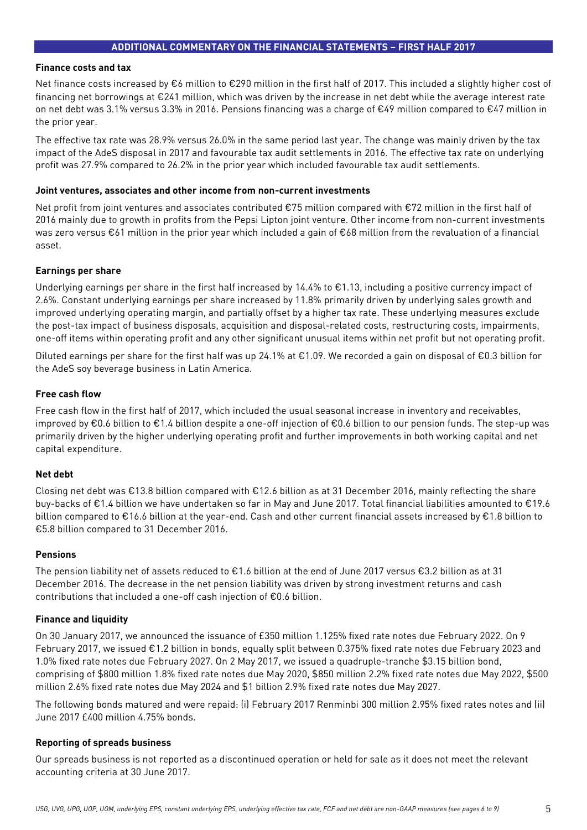# **Finance costs and tax**

Net finance costs increased by €6 million to €290 million in the first half of 2017. This included a slightly higher cost of financing net borrowings at €241 million, which was driven by the increase in net debt while the average interest rate on net debt was 3.1% versus 3.3% in 2016. Pensions financing was a charge of €49 million compared to €47 million in the prior year.

The effective tax rate was 28.9% versus 26.0% in the same period last year. The change was mainly driven by the tax impact of the AdeS disposal in 2017 and favourable tax audit settlements in 2016. The effective tax rate on underlying profit was 27.9% compared to 26.2% in the prior year which included favourable tax audit settlements.

## **Joint ventures, associates and other income from non-current investments**

Net profit from joint ventures and associates contributed €75 million compared with €72 million in the first half of 2016 mainly due to growth in profits from the Pepsi Lipton joint venture. Other income from non-current investments was zero versus €61 million in the prior year which included a gain of €68 million from the revaluation of a financial asset.

# **Earnings per share**

Underlying earnings per share in the first half increased by  $14.4\%$  to  $\epsilon$ 1.13, including a positive currency impact of 2.6%. Constant underlying earnings per share increased by 11.8% primarily driven by underlying sales growth and improved underlying operating margin, and partially offset by a higher tax rate. These underlying measures exclude the post-tax impact of business disposals, acquisition and disposal-related costs, restructuring costs, impairments, one-off items within operating profit and any other significant unusual items within net profit but not operating profit.

Diluted earnings per share for the first half was up 24.1% at €1.09. We recorded a gain on disposal of €0.3 billion for the AdeS soy beverage business in Latin America.

# **Free cash flow**

Free cash flow in the first half of 2017, which included the usual seasonal increase in inventory and receivables, improved by €0.6 billion to €1.4 billion despite a one-off injection of €0.6 billion to our pension funds. The step-up was primarily driven by the higher underlying operating profit and further improvements in both working capital and net capital expenditure.

## **Net debt**

Closing net debt was €13.8 billion compared with €12.6 billion as at 31 December 2016, mainly reflecting the share buy-backs of €1.4 billion we have undertaken so far in May and June 2017. Total financial liabilities amounted to €19.6 billion compared to €16.6 billion at the year-end. Cash and other current financial assets increased by €1.8 billion to €5.8 billion compared to 31 December 2016.

## **Pensions**

The pension liability net of assets reduced to €1.6 billion at the end of June 2017 versus €3.2 billion as at 31 December 2016. The decrease in the net pension liability was driven by strong investment returns and cash contributions that included a one-off cash injection of €0.6 billion.

# **Finance and liquidity**

On 30 January 2017, we announced the issuance of £350 million 1.125% fixed rate notes due February 2022. On 9 February 2017, we issued €1.2 billion in bonds, equally split between 0.375% fixed rate notes due February 2023 and 1.0% fixed rate notes due February 2027. On 2 May 2017, we issued a quadruple-tranche \$3.15 billion bond, comprising of \$800 million 1.8% fixed rate notes due May 2020, \$850 million 2.2% fixed rate notes due May 2022, \$500 million 2.6% fixed rate notes due May 2024 and \$1 billion 2.9% fixed rate notes due May 2027.

The following bonds matured and were repaid: (i) February 2017 Renminbi 300 million 2.95% fixed rates notes and (ii) June 2017 £400 million 4.75% bonds.

# **Reporting of spreads business**

Our spreads business is not reported as a discontinued operation or held for sale as it does not meet the relevant accounting criteria at 30 June 2017.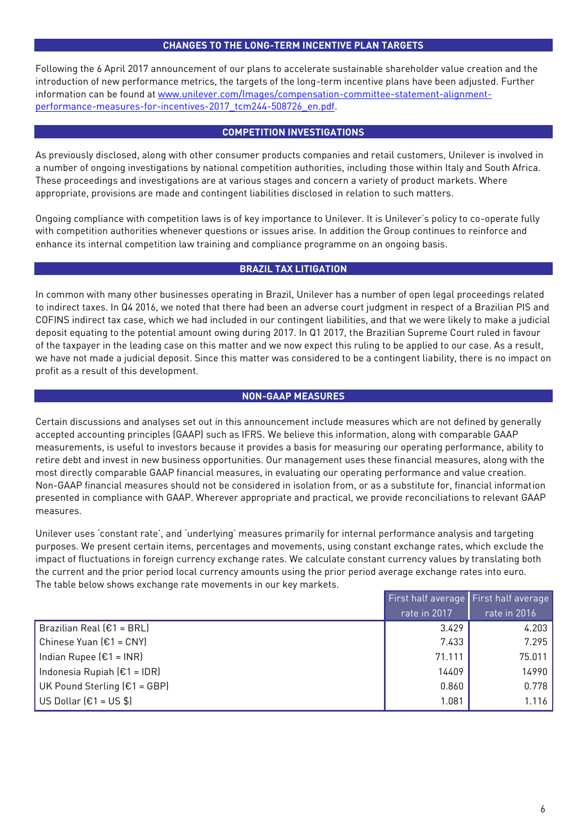# **CHANGES TO THE LONG-TERM INCENTIVE PLAN TARGETS**

Following the 6 April 2017 announcement of our plans to accelerate sustainable shareholder value creation and the introduction of new performance metrics, the targets of the long-term incentive plans have been adjusted. Further information can be found at [www.unilever.com/Images/compensation-committee-statement-alignment](http://www.unilever.com/Images/compensation-committee-statement-alignment-performance-measures-for-incentives-2017_tcm244-508726_en.pdf)[performance-measures-for-incentives-2017\\_tcm244-508726\\_en.pdf](http://www.unilever.com/Images/compensation-committee-statement-alignment-performance-measures-for-incentives-2017_tcm244-508726_en.pdf).

# **COMPETITION INVESTIGATIONS**

As previously disclosed, along with other consumer products companies and retail customers, Unilever is involved in a number of ongoing investigations by national competition authorities, including those within Italy and South Africa. These proceedings and investigations are at various stages and concern a variety of product markets. Where appropriate, provisions are made and contingent liabilities disclosed in relation to such matters.

Ongoing compliance with competition laws is of key importance to Unilever. It is Unilever's policy to co-operate fully with competition authorities whenever questions or issues arise. In addition the Group continues to reinforce and enhance its internal competition law training and compliance programme on an ongoing basis.

# **BRAZIL TAX LITIGATION**

In common with many other businesses operating in Brazil, Unilever has a number of open legal proceedings related to indirect taxes. In Q4 2016, we noted that there had been an adverse court judgment in respect of a Brazilian PIS and COFINS indirect tax case, which we had included in our contingent liabilities, and that we were likely to make a judicial deposit equating to the potential amount owing during 2017. In Q1 2017, the Brazilian Supreme Court ruled in favour of the taxpayer in the leading case on this matter and we now expect this ruling to be applied to our case. As a result, we have not made a judicial deposit. Since this matter was considered to be a contingent liability, there is no impact on profit as a result of this development.

# **NON-GAAP MEASURES**

Certain discussions and analyses set out in this announcement include measures which are not defined by generally accepted accounting principles (GAAP) such as IFRS. We believe this information, along with comparable GAAP measurements, is useful to investors because it provides a basis for measuring our operating performance, ability to retire debt and invest in new business opportunities. Our management uses these financial measures, along with the most directly comparable GAAP financial measures, in evaluating our operating performance and value creation. Non-GAAP financial measures should not be considered in isolation from, or as a substitute for, financial information presented in compliance with GAAP. Wherever appropriate and practical, we provide reconciliations to relevant GAAP measures.

Unilever uses 'constant rate', and 'underlying' measures primarily for internal performance analysis and targeting purposes. We present certain items, percentages and movements, using constant exchange rates, which exclude the impact of fluctuations in foreign currency exchange rates. We calculate constant currency values by translating both the current and the prior period local currency amounts using the prior period average exchange rates into euro. The table below shows exchange rate movements in our key markets.

|                                |              | First half average First half average |
|--------------------------------|--------------|---------------------------------------|
|                                | rate in 2017 | rate in 2016                          |
| Brazilian Real $[€1 = BRL]$    | 3.429        | 4.203                                 |
| Chinese Yuan $E1 = CNY$        | 7.433        | 7.295                                 |
| Indian Rupee $[£1 = INR]$      | 71.111       | 75.011                                |
| Indonesia Rupiah $E1 = IDR$    | 14409        | 14990                                 |
| UK Pound Sterling $(E1 = GBP)$ | 0.860        | 0.778                                 |
| US Dollar $[€1 = US $]$        | 1.081        | 1.116                                 |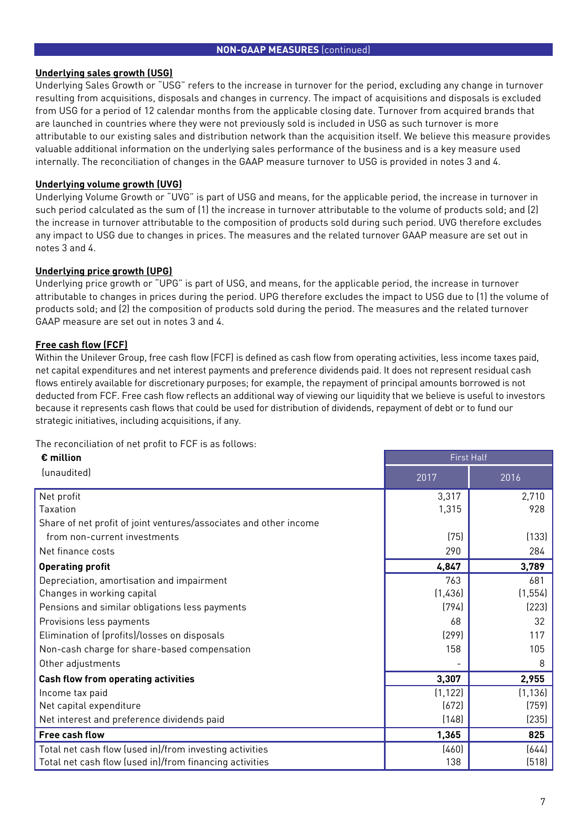# **Underlying sales growth (USG)**

Underlying Sales Growth or "USG" refers to the increase in turnover for the period, excluding any change in turnover resulting from acquisitions, disposals and changes in currency. The impact of acquisitions and disposals is excluded from USG for a period of 12 calendar months from the applicable closing date. Turnover from acquired brands that are launched in countries where they were not previously sold is included in USG as such turnover is more attributable to our existing sales and distribution network than the acquisition itself. We believe this measure provides valuable additional information on the underlying sales performance of the business and is a key measure used internally. The reconciliation of changes in the GAAP measure turnover to USG is provided in notes 3 and 4.

# **Underlying volume growth (UVG)**

Underlying Volume Growth or "UVG" is part of USG and means, for the applicable period, the increase in turnover in such period calculated as the sum of (1) the increase in turnover attributable to the volume of products sold; and (2) the increase in turnover attributable to the composition of products sold during such period. UVG therefore excludes any impact to USG due to changes in prices. The measures and the related turnover GAAP measure are set out in notes 3 and 4.

# **Underlying price growth (UPG)**

Underlying price growth or "UPG" is part of USG, and means, for the applicable period, the increase in turnover attributable to changes in prices during the period. UPG therefore excludes the impact to USG due to (1) the volume of products sold; and (2) the composition of products sold during the period. The measures and the related turnover GAAP measure are set out in notes 3 and 4.

# **Free cash flow (FCF)**

Within the Unilever Group, free cash flow (FCF) is defined as cash flow from operating activities, less income taxes paid, net capital expenditures and net interest payments and preference dividends paid. It does not represent residual cash flows entirely available for discretionary purposes; for example, the repayment of principal amounts borrowed is not deducted from FCF. Free cash flow reflects an additional way of viewing our liquidity that we believe is useful to investors because it represents cash flows that could be used for distribution of dividends, repayment of debt or to fund our strategic initiatives, including acquisitions, if any.

The reconciliation of net profit to FCF is as follows:

| € million                                                         | <b>First Half</b> |          |  |  |
|-------------------------------------------------------------------|-------------------|----------|--|--|
| (unaudited)                                                       | 2017              | 2016     |  |  |
| Net profit                                                        | 3,317             | 2,710    |  |  |
| Taxation                                                          | 1,315             | 928      |  |  |
| Share of net profit of joint ventures/associates and other income |                   |          |  |  |
| from non-current investments                                      | (75)              | (133)    |  |  |
| Net finance costs                                                 | 290               | 284      |  |  |
| <b>Operating profit</b>                                           | 4,847             | 3,789    |  |  |
| Depreciation, amortisation and impairment                         | 763               | 681      |  |  |
| Changes in working capital                                        | (1,436)           | (1, 554) |  |  |
| Pensions and similar obligations less payments                    | (794)             | (223)    |  |  |
| Provisions less payments                                          | 68                | 32       |  |  |
| Elimination of (profits)/losses on disposals                      | (299)             | 117      |  |  |
| Non-cash charge for share-based compensation                      | 158               | 105      |  |  |
| Other adjustments                                                 |                   | 8        |  |  |
| <b>Cash flow from operating activities</b>                        | 3,307             | 2,955    |  |  |
| Income tax paid                                                   | (1, 122)          | (1, 136) |  |  |
| Net capital expenditure                                           | (672)             | (759)    |  |  |
| Net interest and preference dividends paid                        | (148)             | (235)    |  |  |
| Free cash flow                                                    | 1,365             | 825      |  |  |
| Total net cash flow (used in)/from investing activities           | (460)             | (644)    |  |  |
| Total net cash flow (used in)/from financing activities           | 138               | (518)    |  |  |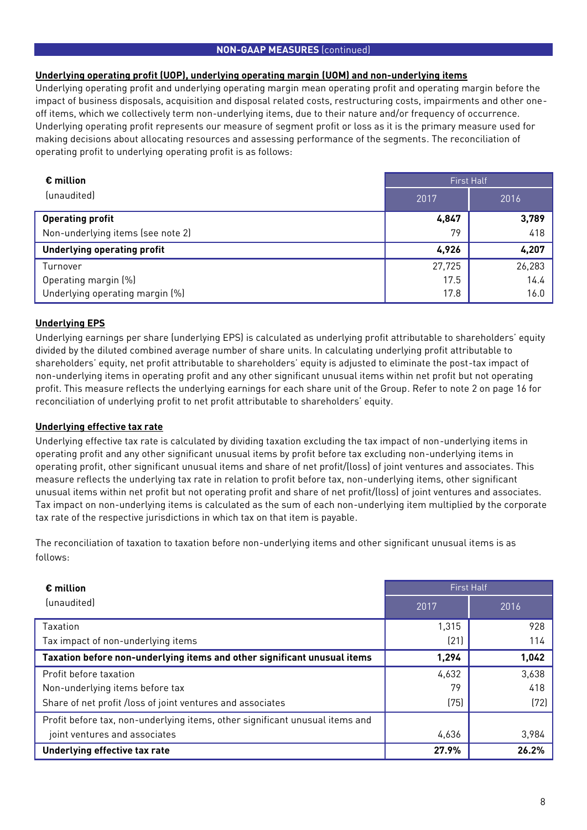## **NON-GAAP MEASURES** (continued)

# **Underlying operating profit (UOP), underlying operating margin (UOM) and non-underlying items**

Underlying operating profit and underlying operating margin mean operating profit and operating margin before the impact of business disposals, acquisition and disposal related costs, restructuring costs, impairments and other oneoff items, which we collectively term non-underlying items, due to their nature and/or frequency of occurrence. Underlying operating profit represents our measure of segment profit or loss as it is the primary measure used for making decisions about allocating resources and assessing performance of the segments. The reconciliation of operating profit to underlying operating profit is as follows:

| $\epsilon$ million                 | <b>First Half</b> |        |  |  |
|------------------------------------|-------------------|--------|--|--|
| (unaudited)                        | 2017              | 2016   |  |  |
| <b>Operating profit</b>            | 4,847             | 3,789  |  |  |
| Non-underlying items (see note 2)  | 79                | 418    |  |  |
| <b>Underlying operating profit</b> | 4,926             | 4,207  |  |  |
| Turnover                           | 27,725            | 26,283 |  |  |
| Operating margin (%)               | 17.5              | 14.4   |  |  |
| Underlying operating margin (%)    | 17.8              | 16.0   |  |  |

# **Underlying EPS**

Underlying earnings per share (underlying EPS) is calculated as underlying profit attributable to shareholders' equity divided by the diluted combined average number of share units. In calculating underlying profit attributable to shareholders' equity, net profit attributable to shareholders' equity is adjusted to eliminate the post-tax impact of non-underlying items in operating profit and any other significant unusual items within net profit but not operating profit. This measure reflects the underlying earnings for each share unit of the Group. Refer to note 2 on page 16 for reconciliation of underlying profit to net profit attributable to shareholders' equity.

# **Underlying effective tax rate**

Underlying effective tax rate is calculated by dividing taxation excluding the tax impact of non-underlying items in operating profit and any other significant unusual items by profit before tax excluding non-underlying items in operating profit, other significant unusual items and share of net profit/(loss) of joint ventures and associates. This measure reflects the underlying tax rate in relation to profit before tax, non-underlying items, other significant unusual items within net profit but not operating profit and share of net profit/(loss) of joint ventures and associates. Tax impact on non-underlying items is calculated as the sum of each non-underlying item multiplied by the corporate tax rate of the respective jurisdictions in which tax on that item is payable.

The reconciliation of taxation to taxation before non-underlying items and other significant unusual items is as follows:

| $\epsilon$ million                                                           | <b>First Half</b> |       |  |  |
|------------------------------------------------------------------------------|-------------------|-------|--|--|
| (unaudited)                                                                  | 2017              | 2016  |  |  |
| Taxation                                                                     | 1,315             | 928   |  |  |
| Tax impact of non-underlying items                                           | (21)              | 114   |  |  |
| Taxation before non-underlying items and other significant unusual items     | 1,294             | 1,042 |  |  |
| Profit before taxation                                                       | 4,632             | 3,638 |  |  |
| Non-underlying items before tax                                              | 79                | 418   |  |  |
| Share of net profit /loss of joint ventures and associates                   | (75)              | (72)  |  |  |
| Profit before tax, non-underlying items, other significant unusual items and |                   |       |  |  |
| joint ventures and associates                                                | 4,636             | 3,984 |  |  |
| Underlying effective tax rate                                                | 27.9%             | 26.2% |  |  |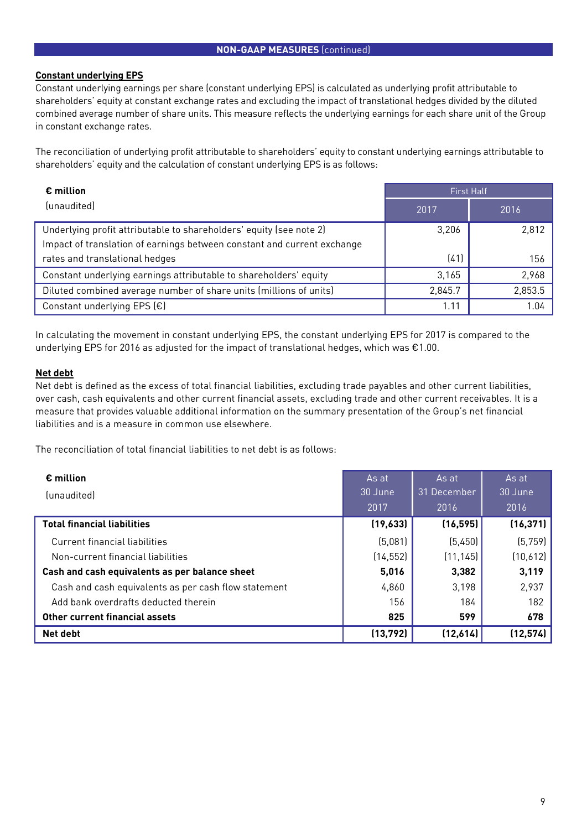## **NON-GAAP MEASURES** (continued)

# **Constant underlying EPS**

Constant underlying earnings per share (constant underlying EPS) is calculated as underlying profit attributable to shareholders' equity at constant exchange rates and excluding the impact of translational hedges divided by the diluted combined average number of share units. This measure reflects the underlying earnings for each share unit of the Group in constant exchange rates.

The reconciliation of underlying profit attributable to shareholders' equity to constant underlying earnings attributable to shareholders' equity and the calculation of constant underlying EPS is as follows:

| $\epsilon$ million                                                      | <b>First Half</b> |         |  |  |
|-------------------------------------------------------------------------|-------------------|---------|--|--|
| (unaudited)                                                             | 2017              | 2016    |  |  |
| Underlying profit attributable to shareholders' equity (see note 2)     | 3,206             | 2,812   |  |  |
| Impact of translation of earnings between constant and current exchange |                   |         |  |  |
| rates and translational hedges                                          | (41)              | 156     |  |  |
| Constant underlying earnings attributable to shareholders' equity       | 3,165             | 2,968   |  |  |
| Diluted combined average number of share units (millions of units)      | 2,845.7           | 2,853.5 |  |  |
| Constant underlying EPS (€)                                             | 1.11              | 1.04    |  |  |

In calculating the movement in constant underlying EPS, the constant underlying EPS for 2017 is compared to the underlying EPS for 2016 as adjusted for the impact of translational hedges, which was €1.00.

# **Net debt**

Net debt is defined as the excess of total financial liabilities, excluding trade payables and other current liabilities, over cash, cash equivalents and other current financial assets, excluding trade and other current receivables. It is a measure that provides valuable additional information on the summary presentation of the Group's net financial liabilities and is a measure in common use elsewhere.

The reconciliation of total financial liabilities to net debt is as follows:

| $\epsilon$ million                                   | As at     | As at       | As at     |
|------------------------------------------------------|-----------|-------------|-----------|
| (unaudited)                                          | 30 June   | 31 December | 30 June   |
|                                                      | 2017      | 2016        | 2016      |
| <b>Total financial liabilities</b>                   | (19,633)  | (16, 595)   | (16, 371) |
| Current financial liabilities                        | (5,081)   | (5,450)     | (5, 759)  |
| Non-current financial liabilities                    | (14, 552) | (11, 145)   | (10,612)  |
| Cash and cash equivalents as per balance sheet       | 5,016     | 3,382       | 3,119     |
| Cash and cash equivalents as per cash flow statement | 4,860     | 3,198       | 2,937     |
| Add bank overdrafts deducted therein                 | 156       | 184         | 182       |
| Other current financial assets                       | 825       | 599         | 678       |
| <b>Net debt</b>                                      | (13, 792) | (12,614)    | (12, 574) |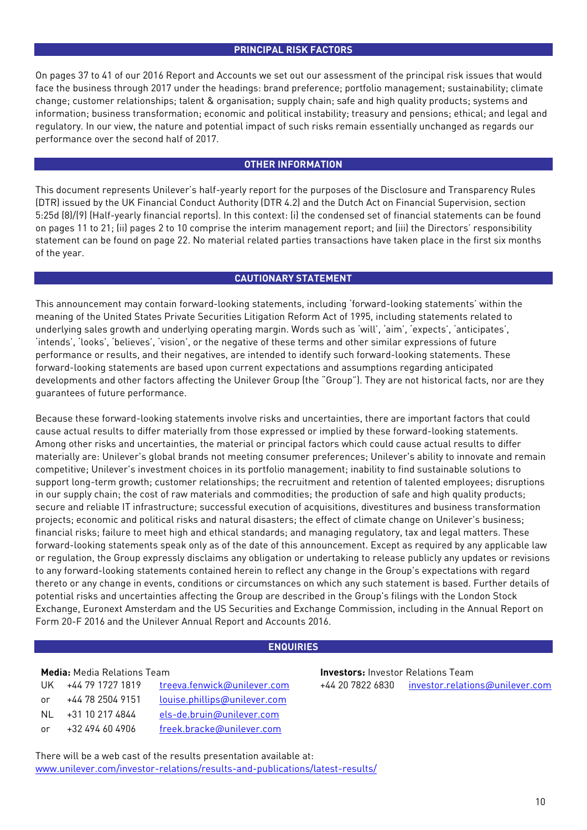## **PRINCIPAL RISK FACTORS**

On pages 37 to 41 of our 2016 Report and Accounts we set out our assessment of the principal risk issues that would face the business through 2017 under the headings: brand preference; portfolio management; sustainability; climate change; customer relationships; talent & organisation; supply chain; safe and high quality products; systems and information; business transformation; economic and political instability; treasury and pensions; ethical; and legal and regulatory. In our view, the nature and potential impact of such risks remain essentially unchanged as regards our performance over the second half of 2017.

# **OTHER INFORMATION**

This document represents Unilever's half-yearly report for the purposes of the Disclosure and Transparency Rules (DTR) issued by the UK Financial Conduct Authority (DTR 4.2) and the Dutch Act on Financial Supervision, section 5:25d (8)/(9) (Half-yearly financial reports). In this context: (i) the condensed set of financial statements can be found on pages 11 to 21; (ii) pages 2 to 10 comprise the interim management report; and (iii) the Directors' responsibility statement can be found on page 22. No material related parties transactions have taken place in the first six months of the year.

## **CAUTIONARY STATEMENT**

This announcement may contain forward-looking statements, including 'forward-looking statements' within the meaning of the United States Private Securities Litigation Reform Act of 1995, including statements related to underlying sales growth and underlying operating margin. Words such as 'will', 'aim', 'expects', 'anticipates', 'intends', 'looks', 'believes', 'vision', or the negative of these terms and other similar expressions of future performance or results, and their negatives, are intended to identify such forward-looking statements. These forward-looking statements are based upon current expectations and assumptions regarding anticipated developments and other factors affecting the Unilever Group (the "Group"). They are not historical facts, nor are they guarantees of future performance.

Because these forward-looking statements involve risks and uncertainties, there are important factors that could cause actual results to differ materially from those expressed or implied by these forward-looking statements. Among other risks and uncertainties, the material or principal factors which could cause actual results to differ materially are: Unilever's global brands not meeting consumer preferences; Unilever's ability to innovate and remain competitive; Unilever's investment choices in its portfolio management; inability to find sustainable solutions to support long-term growth; customer relationships; the recruitment and retention of talented employees; disruptions in our supply chain; the cost of raw materials and commodities; the production of safe and high quality products; secure and reliable IT infrastructure; successful execution of acquisitions, divestitures and business transformation projects; economic and political risks and natural disasters; the effect of climate change on Unilever's business; financial risks; failure to meet high and ethical standards; and managing regulatory, tax and legal matters. These forward-looking statements speak only as of the date of this announcement. Except as required by any applicable law or regulation, the Group expressly disclaims any obligation or undertaking to release publicly any updates or revisions to any forward-looking statements contained herein to reflect any change in the Group's expectations with regard thereto or any change in events, conditions or circumstances on which any such statement is based. Further details of potential risks and uncertainties affecting the Group are described in the Group's filings with the London Stock Exchange, Euronext Amsterdam and the US Securities and Exchange Commission, including in the Annual Report on Form 20-F 2016 and the Unilever Annual Report and Accounts 2016.

# **ENQUIRIES**

| UK  | +44 79 1727 1819 | treeva.fenwick@unilever.com  |
|-----|------------------|------------------------------|
| or  | +44 78 2504 9151 | louise.phillips@unilever.com |
| NI. | +31 10 217 4844  | els-de.bruin@unilever.com    |
| or  | +32 494 60 4906  | freek.bracke@unilever.com    |

**Media:** Media Relations Team **Investors:** Investor Relations Team +44 20 7822 6830 [investor.relations@unilever.com](mailto:investor.relations@unilever.com)

There will be a web cast of the results presentation available at: [www.unilever.com/investor-relations/results-and-publications/latest-results/](http://www.unilever.com/investor-relations/results-and-publications/latest-results/)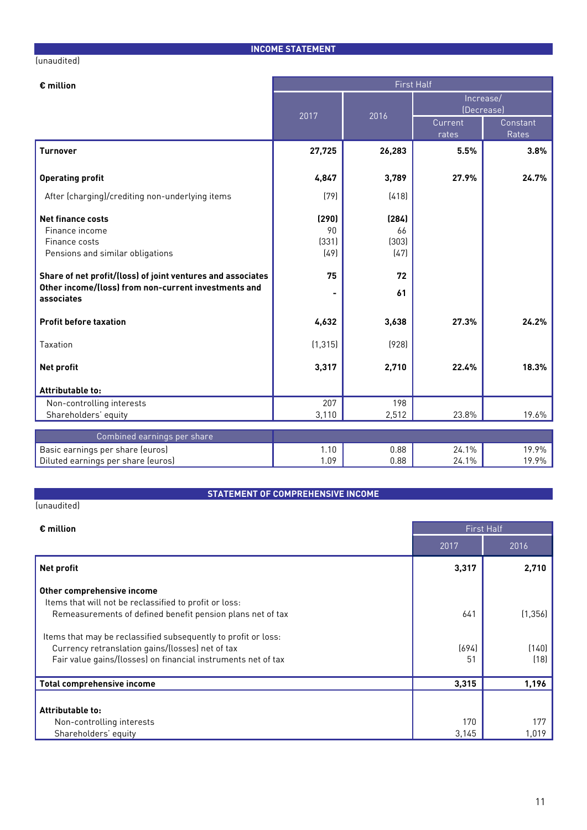# **INCOME STATEMENT**

# (unaudited)

| $\epsilon$ million                                                 | <b>First Half</b> |        |            |          |  |
|--------------------------------------------------------------------|-------------------|--------|------------|----------|--|
|                                                                    |                   |        | Increase/  |          |  |
|                                                                    | 2017              | 2016   | (Decrease) |          |  |
|                                                                    |                   |        | Current    | Constant |  |
|                                                                    |                   |        | rates      | Rates    |  |
| <b>Turnover</b>                                                    | 27,725            | 26,283 | 5.5%       | 3.8%     |  |
| <b>Operating profit</b>                                            | 4,847             | 3,789  | 27.9%      | 24.7%    |  |
| After (charging)/crediting non-underlying items                    | (79)              | (418)  |            |          |  |
| <b>Net finance costs</b>                                           | (290)             | (284)  |            |          |  |
| Finance income                                                     | 90                | 66     |            |          |  |
| Finance costs                                                      | (331)             | (303)  |            |          |  |
| Pensions and similar obligations                                   | (49)              | (47)   |            |          |  |
| Share of net profit/(loss) of joint ventures and associates        | 75                | 72     |            |          |  |
| Other income/(loss) from non-current investments and<br>associates |                   | 61     |            |          |  |
| <b>Profit before taxation</b>                                      | 4,632             | 3,638  | 27.3%      | 24.2%    |  |
| Taxation                                                           | (1, 315)          | (928)  |            |          |  |
| Net profit                                                         | 3,317             | 2,710  | 22.4%      | 18.3%    |  |
| Attributable to:                                                   |                   |        |            |          |  |
| Non-controlling interests                                          | 207               | 198    |            |          |  |
| Shareholders' equity                                               | 3,110             | 2,512  | 23.8%      | 19.6%    |  |
| Combined earnings per share                                        |                   |        |            |          |  |
| Basic earnings per share (euros)                                   | 1.10              | 0.88   | 24.1%      | 19.9%    |  |
| Diluted earnings per share (euros)                                 | 1.09              | 0.88   | 24.1%      | 19.9%    |  |

# **STATEMENT OF COMPREHENSIVE INCOME**

## (unaudited)

| $\epsilon$ million                                             | <b>First Half</b> |          |  |
|----------------------------------------------------------------|-------------------|----------|--|
|                                                                | 2017              | 2016     |  |
| Net profit                                                     | 3,317             | 2,710    |  |
| Other comprehensive income                                     |                   |          |  |
| Items that will not be reclassified to profit or loss:         |                   |          |  |
| Remeasurements of defined benefit pension plans net of tax     | 641               | (1, 356) |  |
| Items that may be reclassified subsequently to profit or loss: |                   |          |  |
| Currency retranslation gains/(losses) net of tax               | (694)             | (140)    |  |
| Fair value gains/(losses) on financial instruments net of tax  | 51                | (18)     |  |
| <b>Total comprehensive income</b>                              | 3,315             | 1,196    |  |
|                                                                |                   |          |  |
| Attributable to:                                               |                   |          |  |
| Non-controlling interests                                      | 170               | 177      |  |
| Shareholders' equity                                           | 3,145             | 1,019    |  |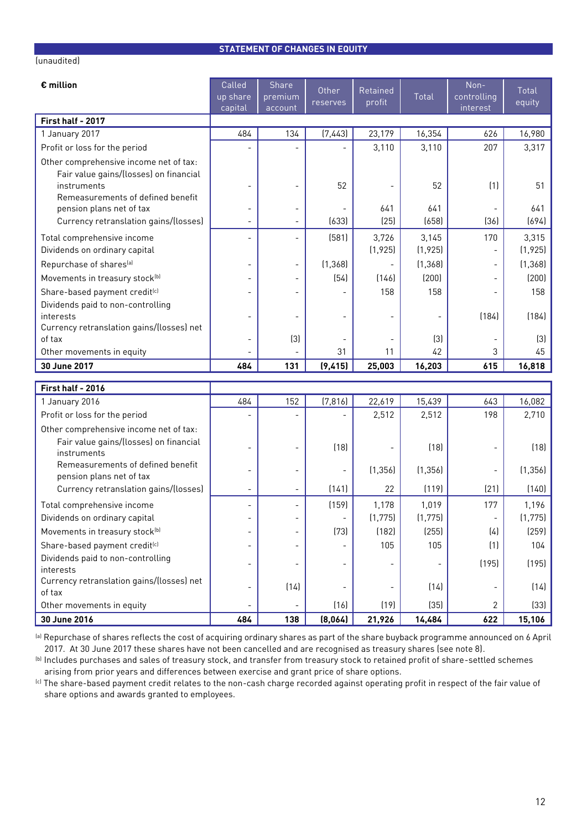## **STATEMENT OF CHANGES IN EQUITY**

| € million                                                                                       | Called<br>up share       | Share<br>premium         | Other                    | Retained                 | Total             | Non-<br>controlling             | Total             |
|-------------------------------------------------------------------------------------------------|--------------------------|--------------------------|--------------------------|--------------------------|-------------------|---------------------------------|-------------------|
|                                                                                                 | capital                  | account                  | reserves                 | profit                   |                   | interest                        | equity            |
| First half - 2017                                                                               |                          |                          |                          |                          |                   |                                 |                   |
| 1 January 2017                                                                                  | 484                      | 134                      | (7,443)                  | 23,179                   | 16,354            | 626                             | 16,980            |
| Profit or loss for the period                                                                   |                          |                          |                          | 3,110                    | 3,110             | 207                             | 3,317             |
| Other comprehensive income net of tax:                                                          |                          |                          |                          |                          |                   |                                 |                   |
| Fair value gains/(losses) on financial<br>instruments<br>Remeasurements of defined benefit      |                          |                          | 52                       |                          | 52                | (1)                             | 51                |
| pension plans net of tax                                                                        |                          |                          |                          | 641                      | 641               |                                 | 641               |
| Currency retranslation gains/(losses)                                                           |                          |                          | (633)                    | (25)                     | (658)             | (36)                            | (694)             |
| Total comprehensive income<br>Dividends on ordinary capital                                     |                          |                          | (581)                    | 3,726<br>(1, 925)        | 3,145<br>(1, 925) | 170<br>$\overline{\phantom{a}}$ | 3,315<br>(1, 925) |
| Repurchase of shares <sup>[a]</sup>                                                             |                          | $\blacksquare$           | (1, 368)                 |                          | (1, 368)          | $\overline{\phantom{a}}$        | (1, 368)          |
| Movements in treasury stock <sup>(b)</sup>                                                      |                          |                          | (54)                     | (146)                    | (200)             |                                 | (200)             |
| Share-based payment credit <sup>(c)</sup>                                                       |                          |                          |                          | 158                      | 158               |                                 | 158               |
| Dividends paid to non-controlling                                                               |                          |                          |                          |                          |                   |                                 |                   |
| interests                                                                                       |                          |                          |                          |                          |                   | (184)                           | (184)             |
| Currency retranslation gains/(losses) net<br>of tax                                             |                          | $[3]$                    |                          |                          | $[3]$             |                                 | $[3]$             |
| Other movements in equity                                                                       |                          |                          | 31                       | 11                       | 42                | 3                               | 45                |
| 30 June 2017                                                                                    | 484                      | 131                      | (9, 415)                 | 25,003                   | 16,203            | 615                             | 16,818            |
|                                                                                                 |                          |                          |                          |                          |                   |                                 |                   |
| First half - 2016                                                                               |                          |                          |                          |                          |                   |                                 |                   |
| 1 January 2016                                                                                  | 484                      | 152                      | (7, 816)                 | 22,619                   | 15,439            | 643                             | 16,082            |
| Profit or loss for the period                                                                   |                          |                          |                          | 2,512                    | 2,512             | 198                             | 2,710             |
| Other comprehensive income net of tax:<br>Fair value gains/(losses) on financial<br>instruments |                          |                          | (18)                     |                          | (18)              | $\overline{\phantom{a}}$        | (18)              |
| Remeasurements of defined benefit<br>pension plans net of tax                                   |                          |                          | $\overline{a}$           | (1, 356)                 | (1, 356)          | $\overline{\phantom{a}}$        | (1, 356)          |
| Currency retranslation gains/(losses)                                                           |                          | $\overline{\phantom{a}}$ | (141)                    | 22                       | (119)             | (21)                            | (140)             |
| Total comprehensive income                                                                      |                          |                          | (159)                    | 1,178                    | 1,019             | 177                             | 1,196             |
| Dividends on ordinary capital                                                                   |                          |                          |                          | (1, 775)                 | (1, 775)          | $\overline{\phantom{a}}$        | (1, 775)          |
| Movements in treasury stock <sup>(b)</sup>                                                      |                          | $\overline{\phantom{a}}$ | (73)                     | (182)                    | (255)             | (4)                             | (259)             |
| Share-based payment credit <sup>(c)</sup>                                                       | $\overline{\phantom{a}}$ |                          |                          | 105                      | 105               | (1)                             | 104               |
| Dividends paid to non-controlling<br>interests                                                  |                          |                          | $\overline{\phantom{0}}$ | $\overline{\phantom{a}}$ |                   | (195)                           | (195)             |
| Currency retranslation gains/(losses) net<br>of tax                                             |                          | (14)                     | $\overline{\phantom{0}}$ |                          | (14)              | $\overline{\phantom{a}}$        | (14)              |

(a) Repurchase of shares reflects the cost of acquiring ordinary shares as part of the share buyback programme announced on 6 April 2017. At 30 June 2017 these shares have not been cancelled and are recognised as treasury shares (see note 8).

Other movements in equity  $(16)$   $(19)$   $(35)$   $(25)$   $(33)$ **30 June 2016 484 138 (8,064) 21,926 14,484 622 15,106**

(b) Includes purchases and sales of treasury stock, and transfer from treasury stock to retained profit of share-settled schemes arising from prior years and differences between exercise and grant price of share options.

<sup>(c)</sup> The share-based payment credit relates to the non-cash charge recorded against operating profit in respect of the fair value of share options and awards granted to employees.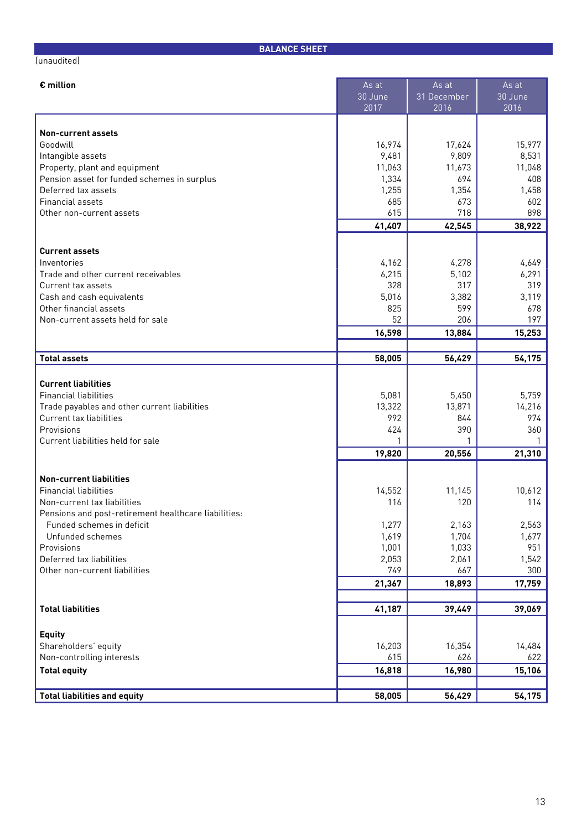# **BALANCE SHEET**

# (unaudited)

| € million                                                                         | As at          | As at          | As at          |
|-----------------------------------------------------------------------------------|----------------|----------------|----------------|
|                                                                                   | 30 June        | 31 December    | 30 June        |
|                                                                                   | 2017           | 2016           | 2016           |
|                                                                                   |                |                |                |
| <b>Non-current assets</b>                                                         |                |                |                |
| Goodwill                                                                          | 16,974         | 17,624         | 15,977         |
| Intangible assets                                                                 | 9,481          | 9,809          | 8,531          |
| Property, plant and equipment                                                     | 11,063         | 11,673         | 11,048         |
| Pension asset for funded schemes in surplus<br>Deferred tax assets                | 1,334<br>1,255 | 694            | 408            |
| Financial assets                                                                  | 685            | 1,354<br>673   | 1,458<br>602   |
| Other non-current assets                                                          | 615            | 718            | 898            |
|                                                                                   | 41,407         | 42,545         | 38,922         |
|                                                                                   |                |                |                |
| <b>Current assets</b>                                                             |                |                |                |
| Inventories                                                                       | 4,162          | 4,278          | 4,649          |
| Trade and other current receivables                                               | 6,215          | 5,102          | 6,291          |
| Current tax assets                                                                | 328            | 317            | 319            |
| Cash and cash equivalents                                                         | 5,016          | 3,382          | 3,119          |
| Other financial assets                                                            | 825            | 599            | 678            |
| Non-current assets held for sale                                                  | 52             | 206            | 197            |
|                                                                                   | 16,598         | 13,884         | 15,253         |
|                                                                                   |                |                |                |
| <b>Total assets</b>                                                               | 58,005         | 56,429         | 54,175         |
|                                                                                   |                |                |                |
| <b>Current liabilities</b>                                                        |                |                |                |
| <b>Financial liabilities</b>                                                      | 5,081          | 5,450          | 5,759          |
| Trade payables and other current liabilities                                      | 13,322         | 13,871         | 14,216         |
| Current tax liabilities                                                           | 992            | 844            | 974            |
| Provisions                                                                        | 424            | 390            | 360            |
| Current liabilities held for sale                                                 |                | 1              | 1              |
|                                                                                   | 19,820         | 20,556         | 21,310         |
|                                                                                   |                |                |                |
| <b>Non-current liabilities</b>                                                    |                |                |                |
| <b>Financial liabilities</b>                                                      | 14,552         | 11,145         | 10,612         |
| Non-current tax liabilities                                                       | 116            | 120            | 114            |
| Pensions and post-retirement healthcare liabilities:<br>Funded schemes in deficit | 1,277          |                |                |
| Unfunded schemes                                                                  | 1,619          | 2,163<br>1,704 | 2,563<br>1,677 |
| Provisions                                                                        | 1,001          | 1,033          | 951            |
| Deferred tax liabilities                                                          | 2,053          | 2,061          | 1,542          |
| Other non-current liabilities                                                     | 749            | 667            | 300            |
|                                                                                   | 21,367         | 18,893         | 17,759         |
|                                                                                   |                |                |                |
| <b>Total liabilities</b>                                                          | 41,187         | 39,449         | 39,069         |
|                                                                                   |                |                |                |
| <b>Equity</b>                                                                     |                |                |                |
| Shareholders' equity                                                              | 16,203         | 16,354         | 14,484         |
| Non-controlling interests                                                         | 615            | 626            | 622            |
| <b>Total equity</b>                                                               | 16,818         | 16,980         | 15,106         |
|                                                                                   |                |                |                |
| <b>Total liabilities and equity</b>                                               | 58,005         | 56,429         | 54,175         |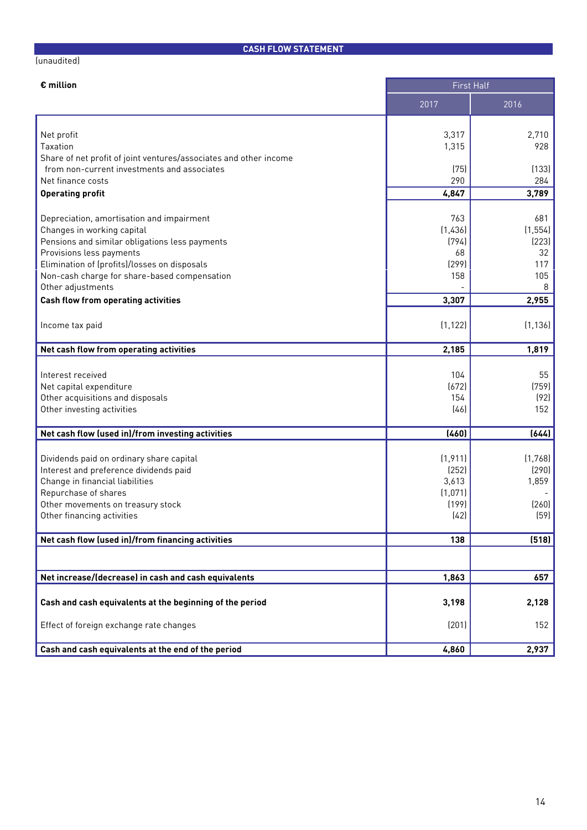# **CASH FLOW STATEMENT**

# (unaudited)

| $\epsilon$ million                                                | <b>First Half</b> |          |  |
|-------------------------------------------------------------------|-------------------|----------|--|
|                                                                   | 2017              | 2016     |  |
|                                                                   |                   |          |  |
| Net profit                                                        | 3,317             | 2,710    |  |
| Taxation                                                          | 1,315             | 928      |  |
| Share of net profit of joint ventures/associates and other income |                   |          |  |
| from non-current investments and associates                       | (75)              | (133)    |  |
| Net finance costs                                                 | 290               | 284      |  |
| <b>Operating profit</b>                                           | 4,847             | 3,789    |  |
|                                                                   |                   |          |  |
| Depreciation, amortisation and impairment                         | 763               | 681      |  |
| Changes in working capital                                        | (1,436)           | (1, 554) |  |
| Pensions and similar obligations less payments                    | (794)             | (223)    |  |
| Provisions less payments                                          | 68                | 32       |  |
| Elimination of (profits)/losses on disposals                      | (299)             | 117      |  |
| Non-cash charge for share-based compensation                      | 158               | 105      |  |
| Other adjustments                                                 |                   | 8        |  |
| <b>Cash flow from operating activities</b>                        | 3,307             | 2,955    |  |
|                                                                   |                   |          |  |
| Income tax paid                                                   | (1, 122)          | (1, 136) |  |
| Net cash flow from operating activities                           | 2,185             | 1,819    |  |
|                                                                   |                   |          |  |
| Interest received                                                 | 104               | 55       |  |
| Net capital expenditure                                           | (672)             | (759)    |  |
| Other acquisitions and disposals                                  | 154               | (92)     |  |
| Other investing activities                                        | (46)              | 152      |  |
|                                                                   |                   |          |  |
| Net cash flow (used in)/from investing activities                 | (460)             | (644)    |  |
|                                                                   |                   |          |  |
| Dividends paid on ordinary share capital                          | (1, 911)          | (1,768)  |  |
| Interest and preference dividends paid                            | (252)             | (290)    |  |
| Change in financial liabilities                                   | 3,613             | 1,859    |  |
| Repurchase of shares                                              | (1,071)           |          |  |
| Other movements on treasury stock                                 | (199)             | (260)    |  |
| Other financing activities                                        | (42)              | (59)     |  |
| Net cash flow (used in)/from financing activities                 | 138               | (518)    |  |
|                                                                   |                   |          |  |
|                                                                   |                   |          |  |
| Net increase/(decrease) in cash and cash equivalents              | 1,863             | 657      |  |
|                                                                   |                   |          |  |
| Cash and cash equivalents at the beginning of the period          | 3,198             | 2,128    |  |
| Effect of foreign exchange rate changes                           | (201)             | 152      |  |
| Cash and cash equivalents at the end of the period                | 4,860             | 2,937    |  |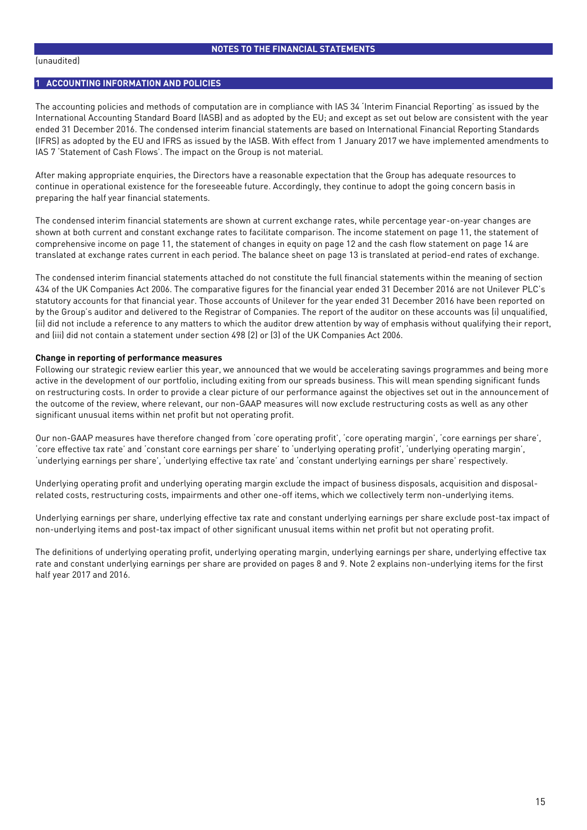### **1 ACCOUNTING INFORMATION AND POLICIES**

The accounting policies and methods of computation are in compliance with IAS 34 'Interim Financial Reporting' as issued by the International Accounting Standard Board (IASB) and as adopted by the EU; and except as set out below are consistent with the year ended 31 December 2016. The condensed interim financial statements are based on International Financial Reporting Standards (IFRS) as adopted by the EU and IFRS as issued by the IASB. With effect from 1 January 2017 we have implemented amendments to IAS 7 'Statement of Cash Flows'. The impact on the Group is not material.

After making appropriate enquiries, the Directors have a reasonable expectation that the Group has adequate resources to continue in operational existence for the foreseeable future. Accordingly, they continue to adopt the going concern basis in preparing the half year financial statements.

The condensed interim financial statements are shown at current exchange rates, while percentage year-on-year changes are shown at both current and constant exchange rates to facilitate comparison. The income statement on page 11, the statement of comprehensive income on page 11, the statement of changes in equity on page 12 and the cash flow statement on page 14 are translated at exchange rates current in each period. The balance sheet on page 13 is translated at period-end rates of exchange.

The condensed interim financial statements attached do not constitute the full financial statements within the meaning of section 434 of the UK Companies Act 2006. The comparative figures for the financial year ended 31 December 2016 are not Unilever PLC's statutory accounts for that financial year. Those accounts of Unilever for the year ended 31 December 2016 have been reported on by the Group's auditor and delivered to the Registrar of Companies. The report of the auditor on these accounts was (i) unqualified, (ii) did not include a reference to any matters to which the auditor drew attention by way of emphasis without qualifying their report, and (iii) did not contain a statement under section 498 (2) or (3) of the UK Companies Act 2006.

### **Change in reporting of performance measures**

Following our strategic review earlier this year, we announced that we would be accelerating savings programmes and being more active in the development of our portfolio, including exiting from our spreads business. This will mean spending significant funds on restructuring costs. In order to provide a clear picture of our performance against the objectives set out in the announcement of the outcome of the review, where relevant, our non-GAAP measures will now exclude restructuring costs as well as any other significant unusual items within net profit but not operating profit.

Our non-GAAP measures have therefore changed from 'core operating profit', 'core operating margin', 'core earnings per share', 'core effective tax rate' and 'constant core earnings per share' to 'underlying operating profit', 'underlying operating margin', 'underlying earnings per share', 'underlying effective tax rate' and 'constant underlying earnings per share' respectively.

Underlying operating profit and underlying operating margin exclude the impact of business disposals, acquisition and disposalrelated costs, restructuring costs, impairments and other one-off items, which we collectively term non-underlying items.

Underlying earnings per share, underlying effective tax rate and constant underlying earnings per share exclude post-tax impact of non-underlying items and post-tax impact of other significant unusual items within net profit but not operating profit.

The definitions of underlying operating profit, underlying operating margin, underlying earnings per share, underlying effective tax rate and constant underlying earnings per share are provided on pages 8 and 9. Note 2 explains non-underlying items for the first half year 2017 and 2016.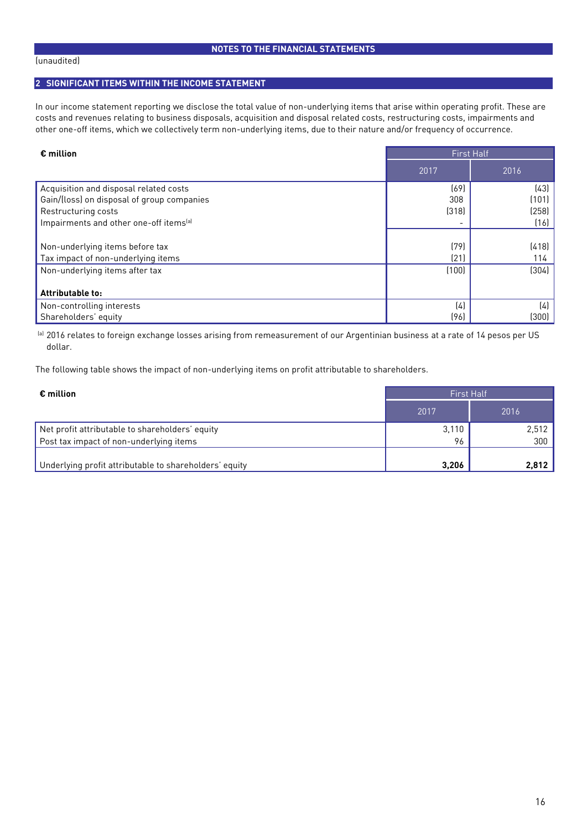## **2 SIGNIFICANT ITEMS WITHIN THE INCOME STATEMENT**

In our income statement reporting we disclose the total value of non-underlying items that arise within operating profit. These are costs and revenues relating to business disposals, acquisition and disposal related costs, restructuring costs, impairments and other one-off items, which we collectively term non-underlying items, due to their nature and/or frequency of occurrence.

| $\epsilon$ million                                 | <b>First Half</b> |       |  |
|----------------------------------------------------|-------------------|-------|--|
|                                                    | 2017              | 2016  |  |
| Acquisition and disposal related costs             | (69)              | (43)  |  |
| Gain/(loss) on disposal of group companies         | 308               | (101) |  |
| Restructuring costs                                | (318)             | (258) |  |
| Impairments and other one-off items <sup>(a)</sup> |                   | (16)  |  |
|                                                    |                   |       |  |
| Non-underlying items before tax                    | (79)              | (418) |  |
| Tax impact of non-underlying items                 | (21)              | 114   |  |
| Non-underlying items after tax                     | (100)             | (304) |  |
|                                                    |                   |       |  |
| Attributable to:                                   |                   |       |  |
| Non-controlling interests                          | (4)               | (4)   |  |
| Shareholders' equity                               | (96)              | (300) |  |

(a) 2016 relates to foreign exchange losses arising from remeasurement of our Argentinian business at a rate of 14 pesos per US dollar.

The following table shows the impact of non-underlying items on profit attributable to shareholders.

| $\epsilon$ million                                     | <b>First Half</b> |       |  |
|--------------------------------------------------------|-------------------|-------|--|
|                                                        | 2017              | 2016  |  |
| Net profit attributable to shareholders' equity        | 3,110             | 2,512 |  |
| Post tax impact of non-underlying items                | 96                | 300   |  |
| Underlying profit attributable to shareholders' equity | 3,206             | 2,812 |  |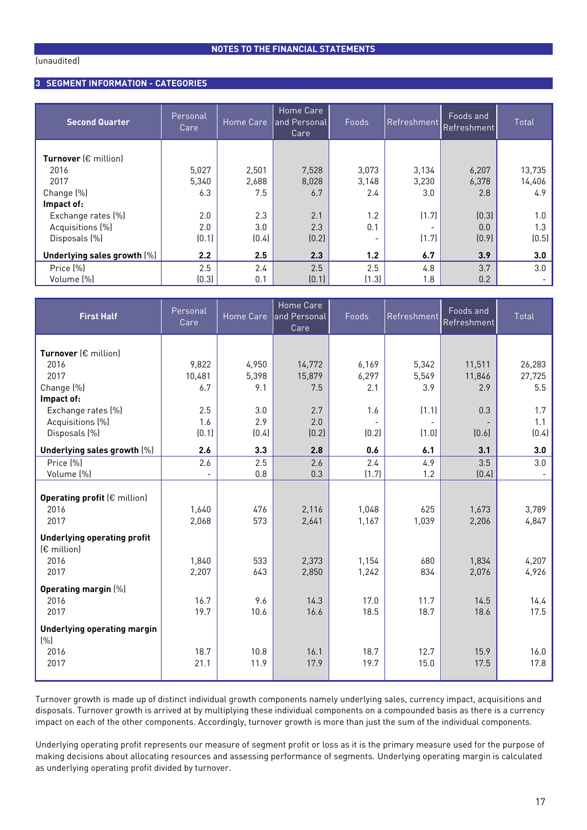# **NOTES TO THE FINANCIAL STATEMENTS**

# **3 SEGMENT INFORMATION - CATEGORIES**

| <b>Second Quarter</b>                    | Personal<br>Care | Home Care | Home Care<br>and Personal<br>Care | Foods | Refreshment | Foods and<br>Refreshment | Total  |
|------------------------------------------|------------------|-----------|-----------------------------------|-------|-------------|--------------------------|--------|
| <b>Turnover</b> $f \in$ million]<br>2016 | 5,027            | 2,501     | 7,528                             | 3,073 | 3,134       | 6,207                    | 13,735 |
| 2017                                     | 5,340            | 2,688     | 8,028                             | 3,148 | 3,230       | 6,378                    | 14,406 |
| Change (%)                               | 6.3              | 7.5       | 6.7                               | 2.4   | 3.0         | 2.8                      | 4.9    |
| Impact of:                               |                  |           |                                   |       |             |                          |        |
| Exchange rates (%)                       | 2.0              | 2.3       | 2.1                               | 1.2   | (1.7)       | (0.3)                    | 1.0    |
| Acquisitions (%)                         | 2.0              | 3.0       | 2.3                               | 0.1   | ۰           | 0.0                      | 1.3    |
| Disposals (%)                            | (0.1)            | (0.4)     | (0.2)                             |       | (1.7)       | (0.9)                    | (0.5)  |
| Underlying sales growth [%]              | $2.2\phantom{0}$ | 2.5       | 2.3                               | 1.2   | 6.7         | 3.9                      | 3.0    |
| Price (%)                                | 2.5              | 2.4       | 2.5                               | 2.5   | 4.8         | 3.7                      | 3.0    |
| Volume (%)                               | (0.3)            | 0.1       | (0.1)                             | (1.3) | 1.8         | 0.2                      |        |

| <b>First Half</b>                                                 | Personal<br>Care | Home Care    | Home Care<br>and Personal<br>Care | Foods          | Refreshment  | Foods and<br>Refreshment | Total          |
|-------------------------------------------------------------------|------------------|--------------|-----------------------------------|----------------|--------------|--------------------------|----------------|
|                                                                   |                  |              |                                   |                |              |                          |                |
| Turnover (€ million)                                              |                  |              |                                   |                |              |                          |                |
| 2016                                                              | 9,822            | 4,950        | 14,772                            | 6,169          | 5,342        | 11,511                   | 26,283         |
| 2017                                                              | 10,481           | 5,398        | 15,879                            | 6,297          | 5,549        | 11,846                   | 27,725         |
| Change [%]                                                        | 6.7              | 9.1          | 7.5                               | 2.1            | 3.9          | 2.9                      | 5.5            |
| Impact of:                                                        |                  |              |                                   |                |              |                          |                |
| Exchange rates (%)                                                | 2.5              | 3.0          | 2.7                               | 1.6            | (1.1)        | 0.3                      | 1.7            |
| Acquisitions (%)                                                  | 1.6              | 2.9          | 2.0                               |                |              |                          | 1.1            |
| Disposals (%)                                                     | (0.1)            | (0.4)        | (0.2)                             | (0.2)          | (1.0)        | [0.6]                    | (0.4)          |
| Underlying sales growth [%]                                       | 2.6              | 3.3          | 2.8                               | 0.6            | 6.1          | 3.1                      | 3.0            |
| Price [%]                                                         | 2.6              | 2.5          | 2.6                               | 2.4            | 4.9          | 3.5                      | 3.0            |
| Volume (%)                                                        | $\overline{a}$   | 0.8          | 0.3                               | (1.7)          | 1.2          | (0.4)                    |                |
| Operating profit (€ million)<br>2016<br>2017                      | 1,640<br>2,068   | 476<br>573   | 2,116<br>2,641                    | 1,048<br>1,167 | 625<br>1,039 | 1,673<br>2,206           | 3,789<br>4,847 |
| <b>Underlying operating profit</b><br>(€ million)<br>2016<br>2017 | 1,840<br>2,207   | 533<br>643   | 2,373<br>2,850                    | 1,154<br>1,242 | 680<br>834   | 1,834<br>2,076           | 4,207<br>4,926 |
| <b>Operating margin (%)</b><br>2016<br>2017                       | 16.7<br>19.7     | 9.6<br>10.6  | 14.3<br>16.6                      | 17.0<br>18.5   | 11.7<br>18.7 | 14.5<br>18.6             | 14.4<br>17.5   |
| <b>Underlying operating margin</b><br>(% )<br>2016<br>2017        | 18.7<br>21.1     | 10.8<br>11.9 | 16.1<br>17.9                      | 18.7<br>19.7   | 12.7<br>15.0 | 15.9<br>17.5             | 16.0<br>17.8   |

Turnover growth is made up of distinct individual growth components namely underlying sales, currency impact, acquisitions and disposals. Turnover growth is arrived at by multiplying these individual components on a compounded basis as there is a currency impact on each of the other components. Accordingly, turnover growth is more than just the sum of the individual components.

Underlying operating profit represents our measure of segment profit or loss as it is the primary measure used for the purpose of making decisions about allocating resources and assessing performance of segments. Underlying operating margin is calculated as underlying operating profit divided by turnover.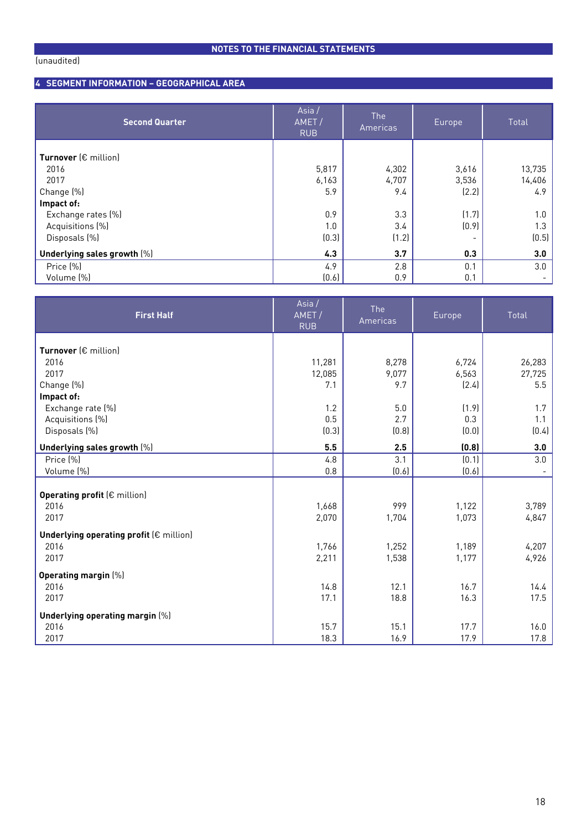# **NOTES TO THE FINANCIAL STATEMENTS**

# **4 SEGMENT INFORMATION – GEOGRAPHICAL AREA**

| <b>Second Quarter</b>                        | Asia/<br>AMET/<br><b>RUB</b> | The<br>Americas | Europe | Total  |
|----------------------------------------------|------------------------------|-----------------|--------|--------|
| <b>Turnover</b> $(\epsilon$ million)<br>2016 | 5,817                        | 4,302           | 3,616  | 13,735 |
| 2017                                         | 6,163                        | 4,707           | 3,536  | 14,406 |
| Change (%)                                   | 5.9                          | 9.4             | (2.2)  | 4.9    |
| Impact of:                                   |                              |                 |        |        |
| Exchange rates (%)                           | 0.9                          | 3.3             | (1.7)  | 1.0    |
| Acquisitions (%)                             | 1.0                          | 3.4             | (0.9)  | 1.3    |
| Disposals (%)                                | (0.3)                        | (1.2)           |        | (0.5)  |
| Underlying sales growth [%]                  | 4.3                          | 3.7             | 0.3    | 3.0    |
| Price (%)                                    | 4.9                          | 2.8             | 0.1    | 3.0    |
| Volume (%)                                   | (0.6)                        | 0.9             | 0.1    |        |

| <b>First Half</b>                                | Asia /<br>AMET/<br><b>RUB</b> | The<br><b>Americas</b> | Europe | Total  |
|--------------------------------------------------|-------------------------------|------------------------|--------|--------|
| Turnover $(\epsilon$ million)                    |                               |                        |        |        |
| 2016                                             | 11,281                        | 8,278                  | 6,724  | 26,283 |
| 2017                                             | 12,085                        | 9,077                  | 6,563  | 27,725 |
| Change (%)                                       | 7.1                           | 9.7                    | (2.4)  | 5.5    |
| Impact of:                                       |                               |                        |        |        |
| Exchange rate [%]                                | 1.2                           | 5.0                    | (1.9)  | 1.7    |
| Acquisitions (%)                                 | 0.5                           | 2.7                    | 0.3    | 1.1    |
| Disposals (%)                                    | (0.3)                         | (0.8)                  | (0.0)  | (0.4)  |
| Underlying sales growth [%]                      | 5.5                           | 2.5                    | (0.8)  | 3.0    |
| Price [%]                                        | 4.8                           | 3.1                    | [0.1]  | 3.0    |
| Volume (%)                                       | 0.8                           | (0.6)                  | [0.6]  |        |
|                                                  |                               |                        |        |        |
| Operating profit (€ million)                     |                               |                        |        |        |
| 2016<br>2017                                     | 1,668<br>2,070                | 999                    | 1,122  | 3,789  |
|                                                  |                               | 1,704                  | 1,073  | 4,847  |
| Underlying operating profit $(\epsilon$ million) |                               |                        |        |        |
| 2016                                             | 1,766                         | 1,252                  | 1,189  | 4,207  |
| 2017                                             | 2,211                         | 1,538                  | 1,177  | 4,926  |
| Operating margin [%]                             |                               |                        |        |        |
| 2016                                             | 14.8                          | 12.1                   | 16.7   | 14.4   |
| 2017                                             | 17.1                          | 18.8                   | 16.3   | 17.5   |
| Underlying operating margin (%)                  |                               |                        |        |        |
| 2016                                             | 15.7                          | 15.1                   | 17.7   | 16.0   |
| 2017                                             | 18.3                          | 16.9                   | 17.9   | 17.8   |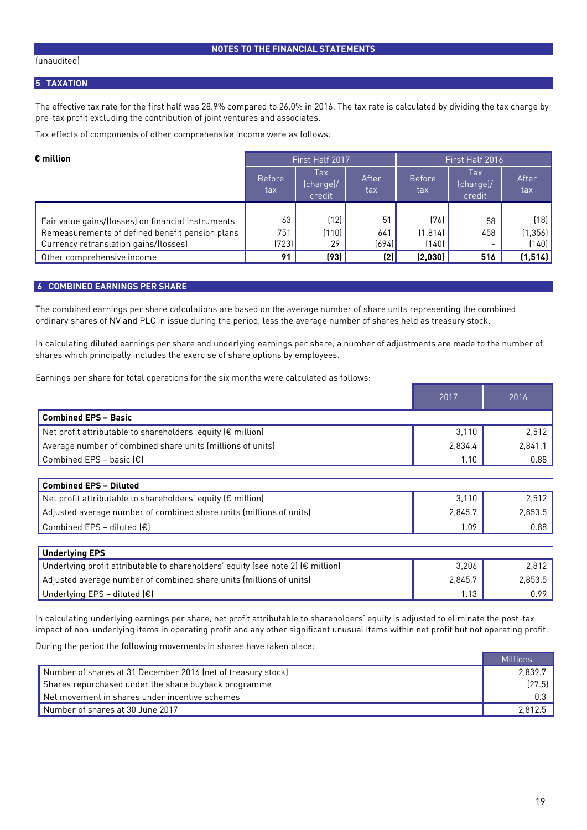# **NOTES TO THE FINANCIAL STATEMENTS**

## (unaudited)

## **5 TAXATION**

The effective tax rate for the first half was 28.9% compared to 26.0% in 2016. The tax rate is calculated by dividing the tax charge by pre-tax profit excluding the contribution of joint ventures and associates.

Tax effects of components of other comprehensive income were as follows:

| <b>E</b> million                                                                                                                               | First Half 2017      |                                       |                    | First Half 2016           |                                       |                           |
|------------------------------------------------------------------------------------------------------------------------------------------------|----------------------|---------------------------------------|--------------------|---------------------------|---------------------------------------|---------------------------|
|                                                                                                                                                | <b>Before</b><br>tax | $\overline{a}$<br>(charge)/<br>credit | After<br>tax       | <b>Before</b><br>tax      | Tax<br>(charge)/<br>credit            | After<br>tax              |
| Fair value gains/(losses) on financial instruments<br>Remeasurements of defined benefit pension plans<br>Currency retranslation gains/(losses) | 63<br>751<br>(723)   | (12)<br>(110)<br>29                   | 51<br>641<br>(694) | (76)<br>(1, 814)<br>(140) | 58<br>458<br>$\overline{\phantom{0}}$ | (18)<br>(1, 356)<br>(140) |
| Other comprehensive income                                                                                                                     | 91                   | (93)                                  | (2)                | (2,030)                   | 516                                   | (1, 514)                  |

## **6 COMBINED EARNINGS PER SHARE**

The combined earnings per share calculations are based on the average number of share units representing the combined ordinary shares of NV and PLC in issue during the period, less the average number of shares held as treasury stock.

In calculating diluted earnings per share and underlying earnings per share, a number of adjustments are made to the number of shares which principally includes the exercise of share options by employees.

Earnings per share for total operations for the six months were calculated as follows:

|                                                                       | 2017    | 2016    |
|-----------------------------------------------------------------------|---------|---------|
| <b>Combined EPS - Basic</b>                                           |         |         |
| Net profit attributable to shareholders' equity ( $\epsilon$ million) | 3,110   | 2,512   |
| Average number of combined share units (millions of units)            | 2,834.4 | 2,841.1 |
| Combined EPS - basic $(\epsilon)$                                     | 1.10    | 0.88    |

| Combined EPS - Diluted                                                |         |         |
|-----------------------------------------------------------------------|---------|---------|
| Net profit attributable to shareholders' equity ( $\epsilon$ million) | 3.110   | 2,512   |
| Adjusted average number of combined share units (millions of units)   | 2.845.7 | 2.853.5 |
| Combined EPS – diluted $\left[\varepsilon\right]$                     | 1.09    | 0.88    |

| Underlying EPS                                                                  |         |         |
|---------------------------------------------------------------------------------|---------|---------|
| Underlying profit attributable to shareholders' equity (see note 2) (€ million) | 3.206   | 2.812   |
| Adjusted average number of combined share units (millions of units)             | 2,845.7 | 2.853.5 |
| Underlying EPS - diluted $(\epsilon)$                                           | 1.13    | 0.99    |

In calculating underlying earnings per share, net profit attributable to shareholders' equity is adjusted to eliminate the post-tax impact of non-underlying items in operating profit and any other significant unusual items within net profit but not operating profit.

During the period the following movements in shares have taken place:

|                                                              | Millions |
|--------------------------------------------------------------|----------|
| Number of shares at 31 December 2016 (net of treasury stock) | 2,839.7  |
| Shares repurchased under the share buyback programme         | (27.5)   |
| Net movement in shares under incentive schemes               | 0.3      |
| Number of shares at 30 June 2017                             | 2.812.5  |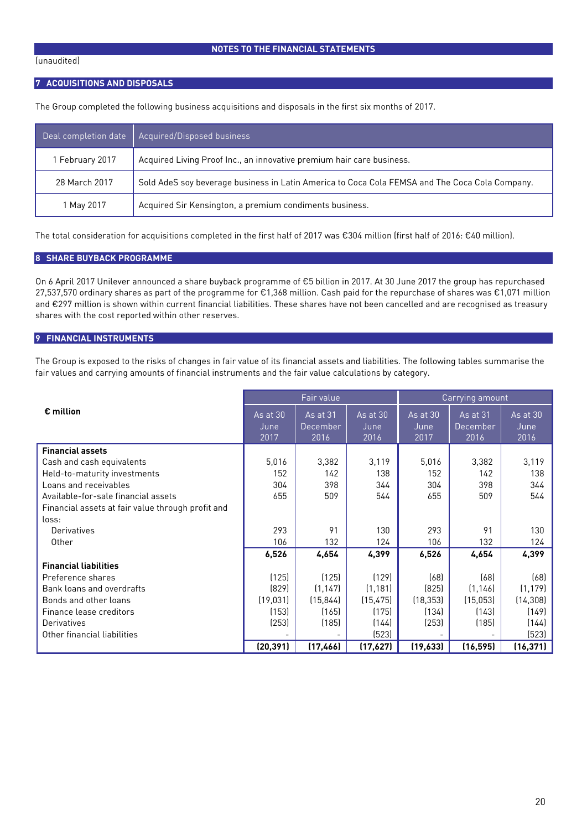## **NOTES TO THE FINANCIAL STATEMENTS**

## **7 ACQUISITIONS AND DISPOSALS**

The Group completed the following business acquisitions and disposals in the first six months of 2017.

| Deal completion date | Acquired/Disposed business                                                                     |
|----------------------|------------------------------------------------------------------------------------------------|
| 1 February 2017      | Acquired Living Proof Inc., an innovative premium hair care business.                          |
| 28 March 2017        | Sold AdeS soy beverage business in Latin America to Coca Cola FEMSA and The Coca Cola Company. |
| 1 May 2017           | Acquired Sir Kensington, a premium condiments business.                                        |

The total consideration for acquisitions completed in the first half of 2017 was €304 million (first half of 2016: €40 million).

## **8 SHARE BUYBACK PROGRAMME**

On 6 April 2017 Unilever announced a share buyback programme of €5 billion in 2017. At 30 June 2017 the group has repurchased 27,537,570 ordinary shares as part of the programme for €1,368 million. Cash paid for the repurchase of shares was €1,071 million and €297 million is shown within current financial liabilities. These shares have not been cancelled and are recognised as treasury shares with the cost reported within other reserves.

## **9 FINANCIAL INSTRUMENTS**

The Group is exposed to the risks of changes in fair value of its financial assets and liabilities. The following tables summarise the fair values and carrying amounts of financial instruments and the fair value calculations by category.

|                                                   |                          | Fair value                                 |                            | Carrying amount            |                                     |                          |  |
|---------------------------------------------------|--------------------------|--------------------------------------------|----------------------------|----------------------------|-------------------------------------|--------------------------|--|
| $\epsilon$ million                                | As at 30<br>June<br>2017 | <b>As at 31</b><br><b>December</b><br>2016 | $As$ at 30<br>June<br>2016 | As at $30$<br>June<br>2017 | <b>As at 31</b><br>December<br>2016 | As at 30<br>June<br>2016 |  |
| <b>Financial assets</b>                           |                          |                                            |                            |                            |                                     |                          |  |
| Cash and cash equivalents                         | 5,016                    | 3,382                                      | 3,119                      | 5,016                      | 3,382                               | 3,119                    |  |
| Held-to-maturity investments                      | 152                      | 142                                        | 138                        | 152                        | 142                                 | 138                      |  |
| Loans and receivables                             | 304                      | 398                                        | 344                        | 304                        | 398                                 | 344                      |  |
| Available-for-sale financial assets               | 655                      | 509                                        | 544                        | 655                        | 509                                 | 544                      |  |
| Financial assets at fair value through profit and |                          |                                            |                            |                            |                                     |                          |  |
| loss:                                             |                          |                                            |                            |                            |                                     |                          |  |
| Derivatives                                       | 293                      | 91                                         | 130                        | 293                        | 91                                  | 130                      |  |
| Other                                             | 106                      | 132                                        | 124                        | 106                        | 132                                 | 124                      |  |
|                                                   | 6,526                    | 4,654                                      | 4,399                      | 6,526                      | 4,654                               | 4,399                    |  |
| <b>Financial liabilities</b>                      |                          |                                            |                            |                            |                                     |                          |  |
| Preference shares                                 | (125)                    | (125)                                      | (129)                      | (68)                       | (68)                                | (68)                     |  |
| Bank loans and overdrafts                         | (829)                    | (1, 147)                                   | (1, 181)                   | (825)                      | (1, 146)                            | (1, 179)                 |  |
| Bonds and other loans                             | (19, 031)                | (15, 844)                                  | (15, 475)                  | (18, 353)                  | (15,053)                            | (14, 308)                |  |
| Finance lease creditors                           | (153)                    | (165)                                      | (175)                      | (134)                      | (143)                               | (149)                    |  |
| Derivatives                                       | (253)                    | (185)                                      | (144)                      | (253)                      | (185)                               | (144)                    |  |
| Other financial liabilities                       | $\overline{\phantom{a}}$ |                                            | (523)                      |                            |                                     | (523)                    |  |
|                                                   | (20, 391)                | (17, 466)                                  | (17, 627)                  | (19,633)                   | (16, 595)                           | (16, 371)                |  |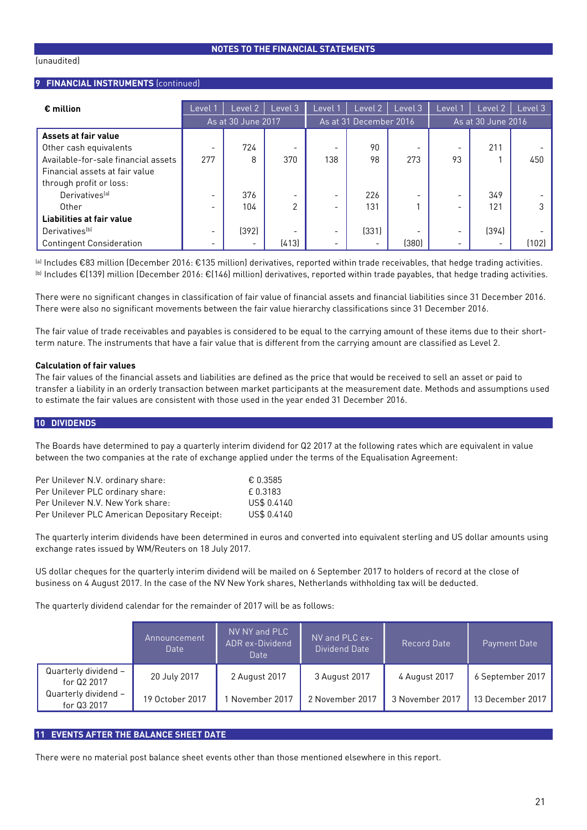## **9 FINANCIAL INSTRUMENTS** (continued)

| $\epsilon$ million                  | Level 1                  | Level 2                  | Level 3                  | Level 1                  | Level 2                | Level 3 | Level 1 | Level 2            | Level 3 |
|-------------------------------------|--------------------------|--------------------------|--------------------------|--------------------------|------------------------|---------|---------|--------------------|---------|
|                                     |                          | As at 30 June 2017       |                          |                          | As at 31 December 2016 |         |         | As at 30 June 2016 |         |
| Assets at fair value                |                          |                          |                          |                          |                        |         |         |                    |         |
| Other cash equivalents              | $\overline{\phantom{0}}$ | 724                      | $\overline{\phantom{0}}$ | $\overline{\phantom{a}}$ | 90                     |         |         | 211                |         |
| Available-for-sale financial assets | 277                      | 8                        | 370                      | 138                      | 98                     | 273     | 93      |                    | 450     |
| Financial assets at fair value      |                          |                          |                          |                          |                        |         |         |                    |         |
| through profit or loss:             |                          |                          |                          |                          |                        |         |         |                    |         |
| Derivatives <sup>[a]</sup>          | $\overline{\phantom{0}}$ | 376                      | $\overline{\phantom{0}}$ |                          | 226                    |         |         | 349                |         |
| Other                               | $\overline{\phantom{0}}$ | 104                      | ⌒                        | $\overline{\phantom{0}}$ | 131                    |         | -       | 121                | ⌒       |
| Liabilities at fair value           |                          |                          |                          |                          |                        |         |         |                    |         |
| Derivatives <sup>[b]</sup>          | $\overline{\phantom{a}}$ | [392]                    | $\overline{\phantom{0}}$ | $\overline{\phantom{0}}$ | (331)                  |         | -       | (394)              |         |
| <b>Contingent Consideration</b>     | $\overline{\phantom{0}}$ | $\overline{\phantom{0}}$ | [413]                    | $\overline{\phantom{0}}$ | -                      | (380)   | -       |                    | (102)   |

(a) Includes €83 million (December 2016: €135 million) derivatives, reported within trade receivables, that hedge trading activities. (b) Includes €(139) million (December 2016: €(146) million) derivatives, reported within trade payables, that hedge trading activities.

There were no significant changes in classification of fair value of financial assets and financial liabilities since 31 December 2016. There were also no significant movements between the fair value hierarchy classifications since 31 December 2016.

The fair value of trade receivables and payables is considered to be equal to the carrying amount of these items due to their shortterm nature. The instruments that have a fair value that is different from the carrying amount are classified as Level 2.

## **Calculation of fair values**

The fair values of the financial assets and liabilities are defined as the price that would be received to sell an asset or paid to transfer a liability in an orderly transaction between market participants at the measurement date. Methods and assumptions used to estimate the fair values are consistent with those used in the year ended 31 December 2016.

## **10 DIVIDENDS**

The Boards have determined to pay a quarterly interim dividend for Q2 2017 at the following rates which are equivalent in value between the two companies at the rate of exchange applied under the terms of the Equalisation Agreement:

| Per Unilever N.V. ordinary share:             | € 0.3585    |
|-----------------------------------------------|-------------|
| Per Unilever PLC ordinary share:              | £ 0.3183    |
| Per Unilever N.V. New York share:             | US\$ 0.4140 |
| Per Unilever PLC American Depositary Receipt: | US\$ 0.4140 |

The quarterly interim dividends have been determined in euros and converted into equivalent sterling and US dollar amounts using exchange rates issued by WM/Reuters on 18 July 2017.

US dollar cheques for the quarterly interim dividend will be mailed on 6 September 2017 to holders of record at the close of business on 4 August 2017. In the case of the NV New York shares, Netherlands withholding tax will be deducted.

The quarterly dividend calendar for the remainder of 2017 will be as follows:

|                                     | Announcement<br><b>Date</b> | NV NY and PLC<br>ADR ex-Dividend<br>Date | NV and PLC ex-<br>Dividend Date | <b>Record Date</b> | Payment Date     |
|-------------------------------------|-----------------------------|------------------------------------------|---------------------------------|--------------------|------------------|
| Quarterly dividend -<br>for Q2 2017 | 20 July 2017                | 2 August 2017                            | 3 August 2017                   | 4 August 2017      | 6 September 2017 |
| Quarterly dividend -<br>for Q3 2017 | 19 October 2017             | November 2017                            | 2 November 2017                 | 3 November 2017    | 13 December 2017 |

## **11 EVENTS AFTER THE BALANCE SHEET DATE**

There were no material post balance sheet events other than those mentioned elsewhere in this report.